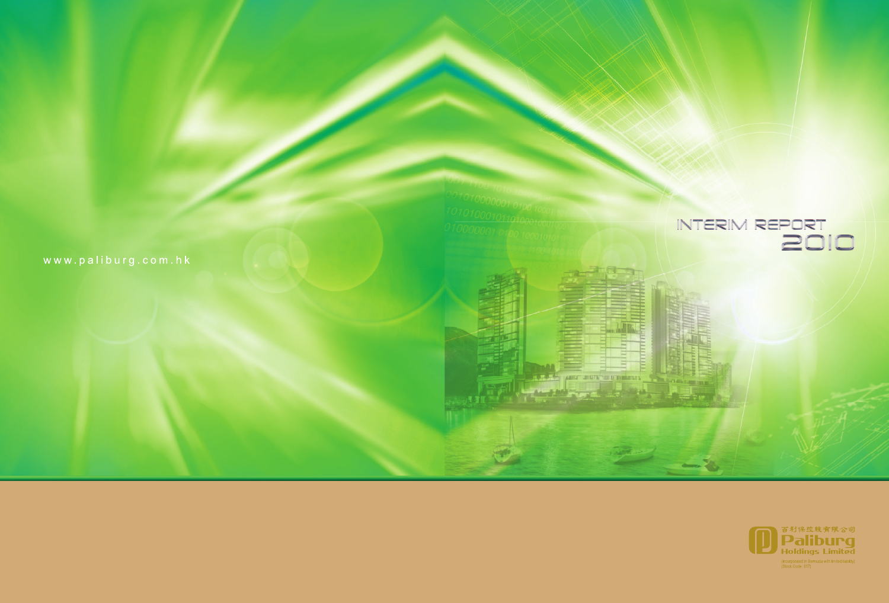**The property of the United States** 

ण

اخ کے م



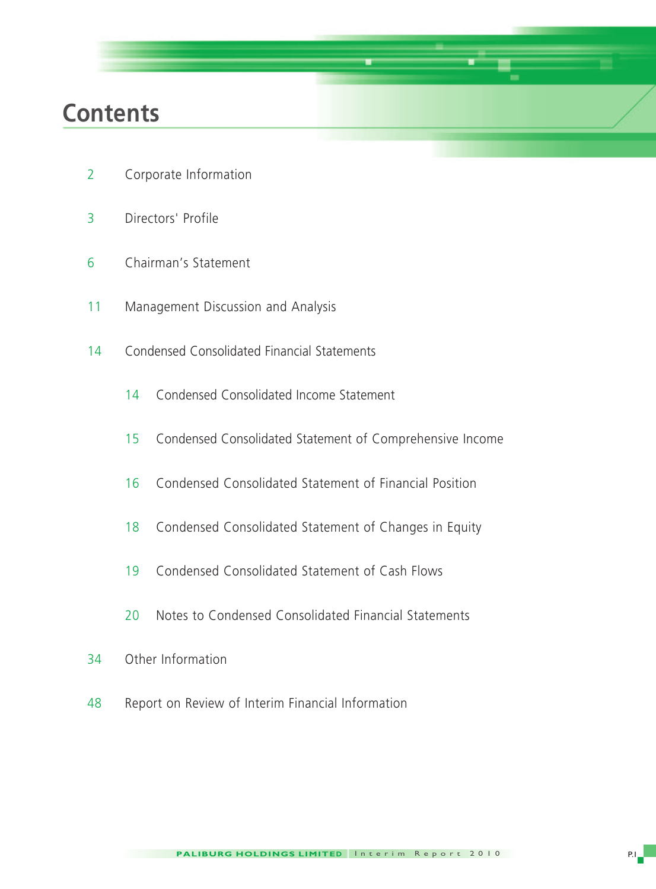## **Contents**

- Corporate Information
- Directors' Profile
- Chairman's Statement
- Management Discussion and Analysis
- Condensed Consolidated Financial Statements
	- Condensed Consolidated Income Statement
	- Condensed Consolidated Statement of Comprehensive Income
	- Condensed Consolidated Statement of Financial Position
	- Condensed Consolidated Statement of Changes in Equity
	- Condensed Consolidated Statement of Cash Flows
	- Notes to Condensed Consolidated Financial Statements
- Other Information
- Report on Review of Interim Financial Information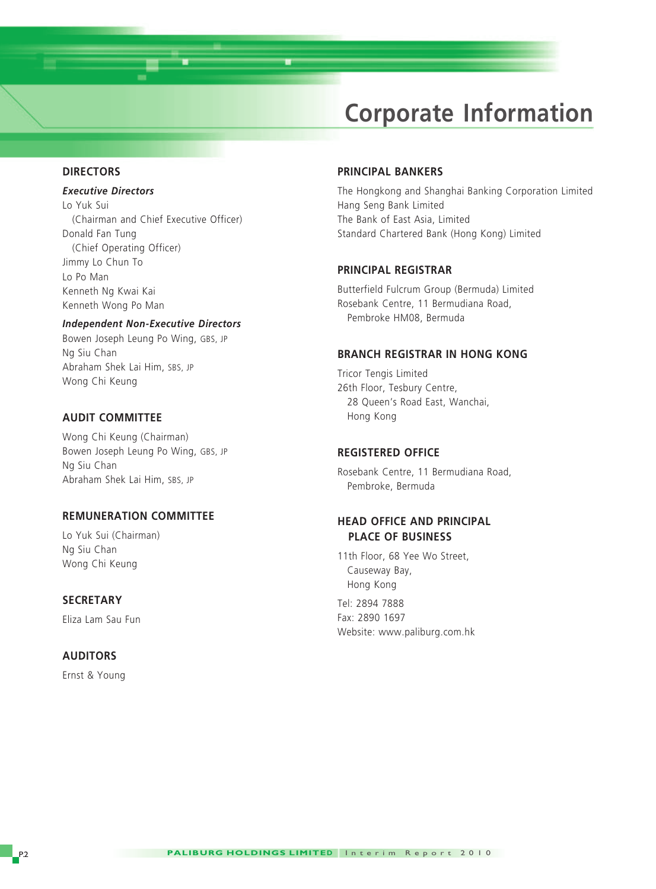## **Corporate Information**

#### **DIRECTORS**

#### *Executive Directors*

Lo Yuk Sui (Chairman and Chief Executive Officer) Donald Fan Tung (Chief Operating Officer) Jimmy Lo Chun To Lo Po Man Kenneth Ng Kwai Kai Kenneth Wong Po Man

#### *Independent Non-Executive Directors*

Bowen Joseph Leung Po Wing, GBS, JP Ng Siu Chan Abraham Shek Lai Him, SBS, JP Wong Chi Keung

#### **AUDIT COMMITTEE**

Wong Chi Keung (Chairman) Bowen Joseph Leung Po Wing, GBS, JP Ng Siu Chan Abraham Shek Lai Him, SBS, JP

#### **REMUNERATION COMMITTEE**

Lo Yuk Sui (Chairman) Ng Siu Chan Wong Chi Keung

#### **SECRETARY**

Eliza Lam Sau Fun

#### **AUDITORS**

Ernst & Young

#### **PRINCIPAL BANKERS**

The Hongkong and Shanghai Banking Corporation Limited Hang Seng Bank Limited The Bank of East Asia, Limited Standard Chartered Bank (Hong Kong) Limited

#### **PRINCIPAL REGISTRAR**

Butterfield Fulcrum Group (Bermuda) Limited Rosebank Centre, 11 Bermudiana Road, Pembroke HM08, Bermuda

#### **BRANCH REGISTRAR IN HONG KONG**

Tricor Tengis Limited 26th Floor, Tesbury Centre, 28 Queen's Road East, Wanchai, Hong Kong

#### **REGISTERED OFFICE**

Rosebank Centre, 11 Bermudiana Road, Pembroke, Bermuda

#### **HEAD OFFICE AND PRINCIPAL PLACE OF BUSINESS**

11th Floor, 68 Yee Wo Street, Causeway Bay, Hong Kong Tel: 2894 7888

Fax: 2890 1697 Website: www.paliburg.com.hk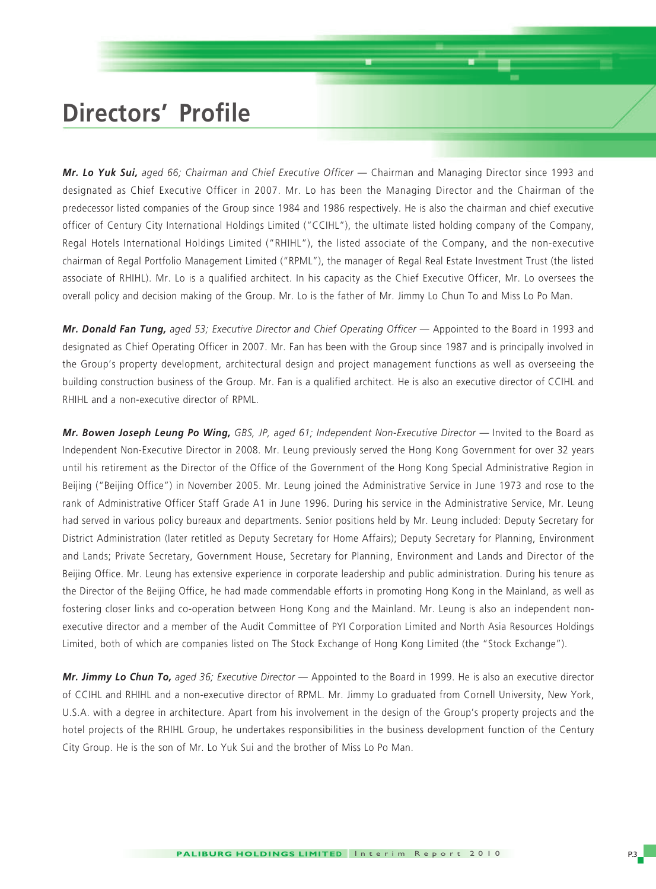## **Directors' Profile**

*Mr. Lo Yuk Sui, aged 66; Chairman and Chief Executive Officer* — Chairman and Managing Director since 1993 and designated as Chief Executive Officer in 2007. Mr. Lo has been the Managing Director and the Chairman of the predecessor listed companies of the Group since 1984 and 1986 respectively. He is also the chairman and chief executive officer of Century City International Holdings Limited ("CCIHL"), the ultimate listed holding company of the Company, Regal Hotels International Holdings Limited ("RHIHL"), the listed associate of the Company, and the non-executive chairman of Regal Portfolio Management Limited ("RPML"), the manager of Regal Real Estate Investment Trust (the listed associate of RHIHL). Mr. Lo is a qualified architect. In his capacity as the Chief Executive Officer, Mr. Lo oversees the overall policy and decision making of the Group. Mr. Lo is the father of Mr. Jimmy Lo Chun To and Miss Lo Po Man.

*Mr. Donald Fan Tung, aged 53; Executive Director and Chief Operating Officer* — Appointed to the Board in 1993 and designated as Chief Operating Officer in 2007. Mr. Fan has been with the Group since 1987 and is principally involved in the Group's property development, architectural design and project management functions as well as overseeing the building construction business of the Group. Mr. Fan is a qualified architect. He is also an executive director of CCIHL and RHIHL and a non-executive director of RPML.

*Mr. Bowen Joseph Leung Po Wing, GBS, JP, aged 61; Independent Non-Executive Director* — Invited to the Board as Independent Non-Executive Director in 2008. Mr. Leung previously served the Hong Kong Government for over 32 years until his retirement as the Director of the Office of the Government of the Hong Kong Special Administrative Region in Beijing ("Beijing Office") in November 2005. Mr. Leung joined the Administrative Service in June 1973 and rose to the rank of Administrative Officer Staff Grade A1 in June 1996. During his service in the Administrative Service, Mr. Leung had served in various policy bureaux and departments. Senior positions held by Mr. Leung included: Deputy Secretary for District Administration (later retitled as Deputy Secretary for Home Affairs); Deputy Secretary for Planning, Environment and Lands; Private Secretary, Government House, Secretary for Planning, Environment and Lands and Director of the Beijing Office. Mr. Leung has extensive experience in corporate leadership and public administration. During his tenure as the Director of the Beijing Office, he had made commendable efforts in promoting Hong Kong in the Mainland, as well as fostering closer links and co-operation between Hong Kong and the Mainland. Mr. Leung is also an independent nonexecutive director and a member of the Audit Committee of PYI Corporation Limited and North Asia Resources Holdings Limited, both of which are companies listed on The Stock Exchange of Hong Kong Limited (the "Stock Exchange").

*Mr. Jimmy Lo Chun To, aged 36; Executive Director* — Appointed to the Board in 1999. He is also an executive director of CCIHL and RHIHL and a non-executive director of RPML. Mr. Jimmy Lo graduated from Cornell University, New York, U.S.A. with a degree in architecture. Apart from his involvement in the design of the Group's property projects and the hotel projects of the RHIHL Group, he undertakes responsibilities in the business development function of the Century City Group. He is the son of Mr. Lo Yuk Sui and the brother of Miss Lo Po Man.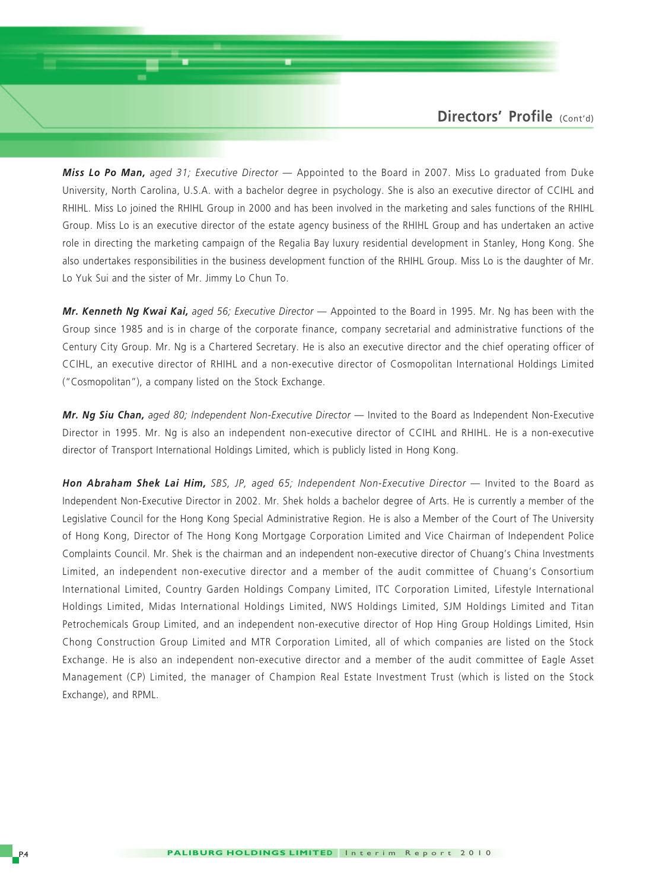*Miss Lo Po Man, aged 31; Executive Director* — Appointed to the Board in 2007. Miss Lo graduated from Duke University, North Carolina, U.S.A. with a bachelor degree in psychology. She is also an executive director of CCIHL and RHIHL. Miss Lo joined the RHIHL Group in 2000 and has been involved in the marketing and sales functions of the RHIHL Group. Miss Lo is an executive director of the estate agency business of the RHIHL Group and has undertaken an active role in directing the marketing campaign of the Regalia Bay luxury residential development in Stanley, Hong Kong. She also undertakes responsibilities in the business development function of the RHIHL Group. Miss Lo is the daughter of Mr. Lo Yuk Sui and the sister of Mr. Jimmy Lo Chun To.

*Mr. Kenneth Ng Kwai Kai, aged 56; Executive Director* — Appointed to the Board in 1995. Mr. Ng has been with the Group since 1985 and is in charge of the corporate finance, company secretarial and administrative functions of the Century City Group. Mr. Ng is a Chartered Secretary. He is also an executive director and the chief operating officer of CCIHL, an executive director of RHIHL and a non-executive director of Cosmopolitan International Holdings Limited ("Cosmopolitan"), a company listed on the Stock Exchange.

*Mr. Ng Siu Chan, aged 80; Independent Non-Executive Director* — Invited to the Board as Independent Non-Executive Director in 1995. Mr. Ng is also an independent non-executive director of CCIHL and RHIHL. He is a non-executive director of Transport International Holdings Limited, which is publicly listed in Hong Kong.

**Hon Abraham Shek Lai Him,** *SBS, JP, aged 65; Independent Non-Executive Director* — Invited to the Board as Independent Non-Executive Director in 2002. Mr. Shek holds a bachelor degree of Arts. He is currently a member of the Legislative Council for the Hong Kong Special Administrative Region. He is also a Member of the Court of The University of Hong Kong, Director of The Hong Kong Mortgage Corporation Limited and Vice Chairman of Independent Police Complaints Council. Mr. Shek is the chairman and an independent non-executive director of Chuang's China Investments Limited, an independent non-executive director and a member of the audit committee of Chuang's Consortium International Limited, Country Garden Holdings Company Limited, ITC Corporation Limited, Lifestyle International Holdings Limited, Midas International Holdings Limited, NWS Holdings Limited, SJM Holdings Limited and Titan Petrochemicals Group Limited, and an independent non-executive director of Hop Hing Group Holdings Limited, Hsin Chong Construction Group Limited and MTR Corporation Limited, all of which companies are listed on the Stock Exchange. He is also an independent non-executive director and a member of the audit committee of Eagle Asset Management (CP) Limited, the manager of Champion Real Estate Investment Trust (which is listed on the Stock Exchange), and RPML.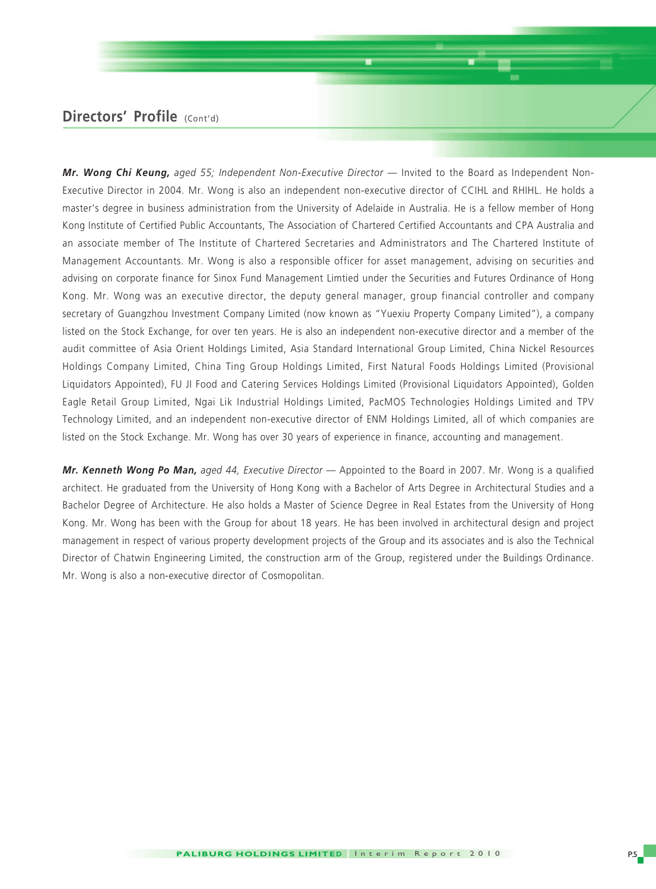### **Directors' Profile** (Cont'd)

*Mr. Wong Chi Keung, aged 55; Independent Non-Executive Director* — Invited to the Board as Independent Non-Executive Director in 2004. Mr. Wong is also an independent non-executive director of CCIHL and RHIHL. He holds a master's degree in business administration from the University of Adelaide in Australia. He is a fellow member of Hong Kong Institute of Certified Public Accountants, The Association of Chartered Certified Accountants and CPA Australia and an associate member of The Institute of Chartered Secretaries and Administrators and The Chartered Institute of Management Accountants. Mr. Wong is also a responsible officer for asset management, advising on securities and advising on corporate finance for Sinox Fund Management Limtied under the Securities and Futures Ordinance of Hong Kong. Mr. Wong was an executive director, the deputy general manager, group financial controller and company secretary of Guangzhou Investment Company Limited (now known as "Yuexiu Property Company Limited"), a company listed on the Stock Exchange, for over ten years. He is also an independent non-executive director and a member of the audit committee of Asia Orient Holdings Limited, Asia Standard International Group Limited, China Nickel Resources Holdings Company Limited, China Ting Group Holdings Limited, First Natural Foods Holdings Limited (Provisional Liquidators Appointed), FU JI Food and Catering Services Holdings Limited (Provisional Liquidators Appointed), Golden Eagle Retail Group Limited, Ngai Lik Industrial Holdings Limited, PacMOS Technologies Holdings Limited and TPV Technology Limited, and an independent non-executive director of ENM Holdings Limited, all of which companies are listed on the Stock Exchange. Mr. Wong has over 30 years of experience in finance, accounting and management.

*Mr. Kenneth Wong Po Man, aged 44, Executive Director* — Appointed to the Board in 2007. Mr. Wong is a qualified architect. He graduated from the University of Hong Kong with a Bachelor of Arts Degree in Architectural Studies and a Bachelor Degree of Architecture. He also holds a Master of Science Degree in Real Estates from the University of Hong Kong. Mr. Wong has been with the Group for about 18 years. He has been involved in architectural design and project management in respect of various property development projects of the Group and its associates and is also the Technical Director of Chatwin Engineering Limited, the construction arm of the Group, registered under the Buildings Ordinance. Mr. Wong is also a non-executive director of Cosmopolitan.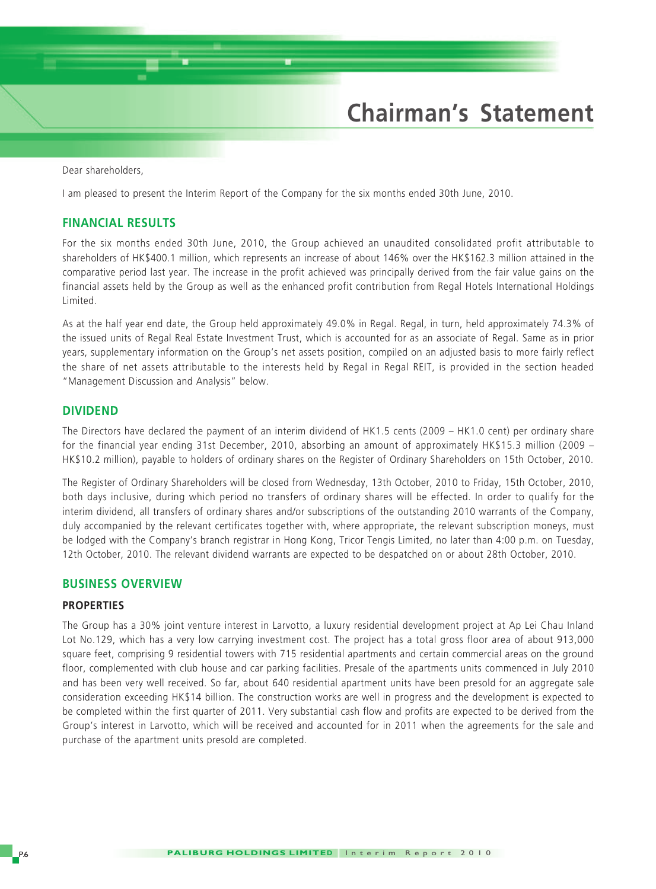## **Chairman's Statement**

Dear shareholders,

I am pleased to present the Interim Report of the Company for the six months ended 30th June, 2010.

#### **FINANCIAL RESULTS**

For the six months ended 30th June, 2010, the Group achieved an unaudited consolidated profit attributable to shareholders of HK\$400.1 million, which represents an increase of about 146% over the HK\$162.3 million attained in the comparative period last year. The increase in the profit achieved was principally derived from the fair value gains on the financial assets held by the Group as well as the enhanced profit contribution from Regal Hotels International Holdings Limited.

As at the half year end date, the Group held approximately 49.0% in Regal. Regal, in turn, held approximately 74.3% of the issued units of Regal Real Estate Investment Trust, which is accounted for as an associate of Regal. Same as in prior years, supplementary information on the Group's net assets position, compiled on an adjusted basis to more fairly reflect the share of net assets attributable to the interests held by Regal in Regal REIT, is provided in the section headed "Management Discussion and Analysis" below.

#### **DIVIDEND**

The Directors have declared the payment of an interim dividend of HK1.5 cents (2009 – HK1.0 cent) per ordinary share for the financial year ending 31st December, 2010, absorbing an amount of approximately HK\$15.3 million (2009 – HK\$10.2 million), payable to holders of ordinary shares on the Register of Ordinary Shareholders on 15th October, 2010.

The Register of Ordinary Shareholders will be closed from Wednesday, 13th October, 2010 to Friday, 15th October, 2010, both days inclusive, during which period no transfers of ordinary shares will be effected. In order to qualify for the interim dividend, all transfers of ordinary shares and/or subscriptions of the outstanding 2010 warrants of the Company, duly accompanied by the relevant certificates together with, where appropriate, the relevant subscription moneys, must be lodged with the Company's branch registrar in Hong Kong, Tricor Tengis Limited, no later than 4:00 p.m. on Tuesday, 12th October, 2010. The relevant dividend warrants are expected to be despatched on or about 28th October, 2010.

#### **BUSINESS OVERVIEW**

#### **PROPERTIES**

The Group has a 30% joint venture interest in Larvotto, a luxury residential development project at Ap Lei Chau Inland Lot No.129, which has a very low carrying investment cost. The project has a total gross floor area of about 913,000 square feet, comprising 9 residential towers with 715 residential apartments and certain commercial areas on the ground floor, complemented with club house and car parking facilities. Presale of the apartments units commenced in July 2010 and has been very well received. So far, about 640 residential apartment units have been presold for an aggregate sale consideration exceeding HK\$14 billion. The construction works are well in progress and the development is expected to be completed within the first quarter of 2011. Very substantial cash flow and profits are expected to be derived from the Group's interest in Larvotto, which will be received and accounted for in 2011 when the agreements for the sale and purchase of the apartment units presold are completed.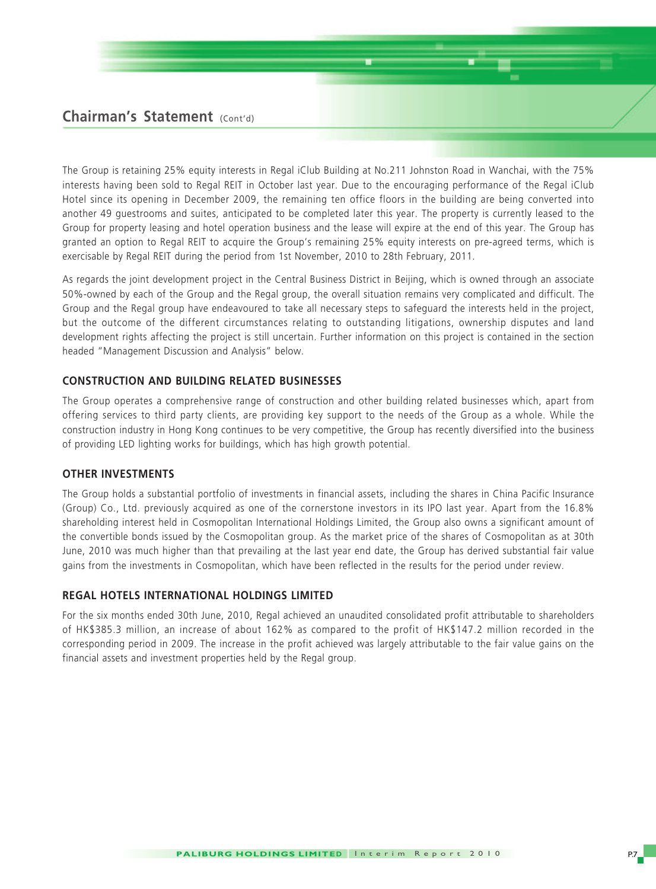### **Chairman's Statement** (Cont'd)

The Group is retaining 25% equity interests in Regal iClub Building at No.211 Johnston Road in Wanchai, with the 75% interests having been sold to Regal REIT in October last year. Due to the encouraging performance of the Regal iClub Hotel since its opening in December 2009, the remaining ten office floors in the building are being converted into another 49 guestrooms and suites, anticipated to be completed later this year. The property is currently leased to the Group for property leasing and hotel operation business and the lease will expire at the end of this year. The Group has granted an option to Regal REIT to acquire the Group's remaining 25% equity interests on pre-agreed terms, which is exercisable by Regal REIT during the period from 1st November, 2010 to 28th February, 2011.

As regards the joint development project in the Central Business District in Beijing, which is owned through an associate 50%-owned by each of the Group and the Regal group, the overall situation remains very complicated and difficult. The Group and the Regal group have endeavoured to take all necessary steps to safeguard the interests held in the project, but the outcome of the different circumstances relating to outstanding litigations, ownership disputes and land development rights affecting the project is still uncertain. Further information on this project is contained in the section headed "Management Discussion and Analysis" below.

#### **CONSTRUCTION AND BUILDING RELATED BUSINESSES**

The Group operates a comprehensive range of construction and other building related businesses which, apart from offering services to third party clients, are providing key support to the needs of the Group as a whole. While the construction industry in Hong Kong continues to be very competitive, the Group has recently diversified into the business of providing LED lighting works for buildings, which has high growth potential.

#### **OTHER INVESTMENTS**

The Group holds a substantial portfolio of investments in financial assets, including the shares in China Pacific Insurance (Group) Co., Ltd. previously acquired as one of the cornerstone investors in its IPO last year. Apart from the 16.8% shareholding interest held in Cosmopolitan International Holdings Limited, the Group also owns a significant amount of the convertible bonds issued by the Cosmopolitan group. As the market price of the shares of Cosmopolitan as at 30th June, 2010 was much higher than that prevailing at the last year end date, the Group has derived substantial fair value gains from the investments in Cosmopolitan, which have been reflected in the results for the period under review.

#### **REGAL HOTELS INTERNATIONAL HOLDINGS LIMITED**

For the six months ended 30th June, 2010, Regal achieved an unaudited consolidated profit attributable to shareholders of HK\$385.3 million, an increase of about 162% as compared to the profit of HK\$147.2 million recorded in the corresponding period in 2009. The increase in the profit achieved was largely attributable to the fair value gains on the financial assets and investment properties held by the Regal group.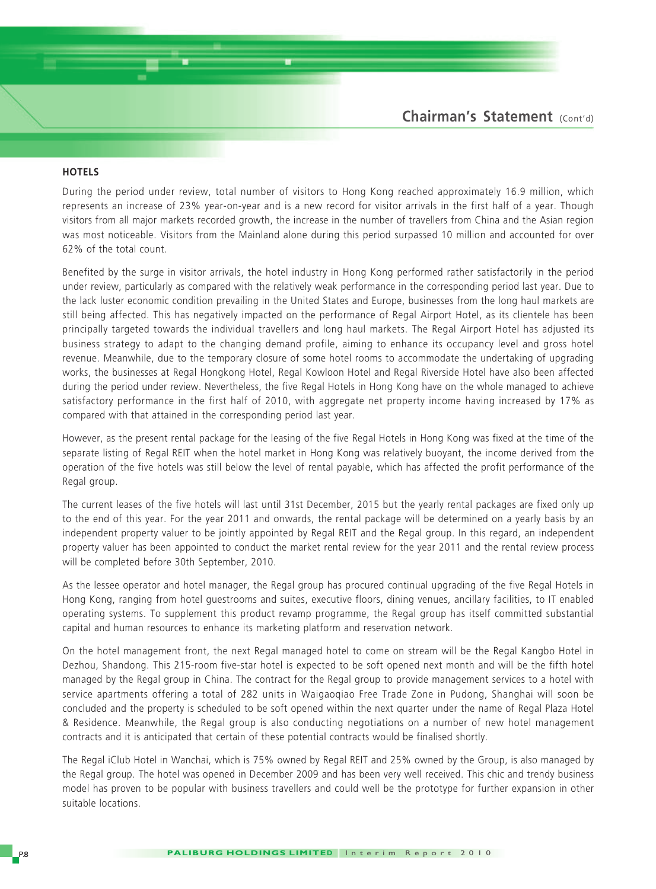#### **HOTELS**

During the period under review, total number of visitors to Hong Kong reached approximately 16.9 million, which represents an increase of 23% year-on-year and is a new record for visitor arrivals in the first half of a year. Though visitors from all major markets recorded growth, the increase in the number of travellers from China and the Asian region was most noticeable. Visitors from the Mainland alone during this period surpassed 10 million and accounted for over 62% of the total count.

Benefited by the surge in visitor arrivals, the hotel industry in Hong Kong performed rather satisfactorily in the period under review, particularly as compared with the relatively weak performance in the corresponding period last year. Due to the lack luster economic condition prevailing in the United States and Europe, businesses from the long haul markets are still being affected. This has negatively impacted on the performance of Regal Airport Hotel, as its clientele has been principally targeted towards the individual travellers and long haul markets. The Regal Airport Hotel has adjusted its business strategy to adapt to the changing demand profile, aiming to enhance its occupancy level and gross hotel revenue. Meanwhile, due to the temporary closure of some hotel rooms to accommodate the undertaking of upgrading works, the businesses at Regal Hongkong Hotel, Regal Kowloon Hotel and Regal Riverside Hotel have also been affected during the period under review. Nevertheless, the five Regal Hotels in Hong Kong have on the whole managed to achieve satisfactory performance in the first half of 2010, with aggregate net property income having increased by 17% as compared with that attained in the corresponding period last year.

However, as the present rental package for the leasing of the five Regal Hotels in Hong Kong was fixed at the time of the separate listing of Regal REIT when the hotel market in Hong Kong was relatively buoyant, the income derived from the operation of the five hotels was still below the level of rental payable, which has affected the profit performance of the Regal group.

The current leases of the five hotels will last until 31st December, 2015 but the yearly rental packages are fixed only up to the end of this year. For the year 2011 and onwards, the rental package will be determined on a yearly basis by an independent property valuer to be jointly appointed by Regal REIT and the Regal group. In this regard, an independent property valuer has been appointed to conduct the market rental review for the year 2011 and the rental review process will be completed before 30th September, 2010.

As the lessee operator and hotel manager, the Regal group has procured continual upgrading of the five Regal Hotels in Hong Kong, ranging from hotel guestrooms and suites, executive floors, dining venues, ancillary facilities, to IT enabled operating systems. To supplement this product revamp programme, the Regal group has itself committed substantial capital and human resources to enhance its marketing platform and reservation network.

On the hotel management front, the next Regal managed hotel to come on stream will be the Regal Kangbo Hotel in Dezhou, Shandong. This 215-room five-star hotel is expected to be soft opened next month and will be the fifth hotel managed by the Regal group in China. The contract for the Regal group to provide management services to a hotel with service apartments offering a total of 282 units in Waigaoqiao Free Trade Zone in Pudong, Shanghai will soon be concluded and the property is scheduled to be soft opened within the next quarter under the name of Regal Plaza Hotel & Residence. Meanwhile, the Regal group is also conducting negotiations on a number of new hotel management contracts and it is anticipated that certain of these potential contracts would be finalised shortly.

The Regal iClub Hotel in Wanchai, which is 75% owned by Regal REIT and 25% owned by the Group, is also managed by the Regal group. The hotel was opened in December 2009 and has been very well received. This chic and trendy business model has proven to be popular with business travellers and could well be the prototype for further expansion in other suitable locations.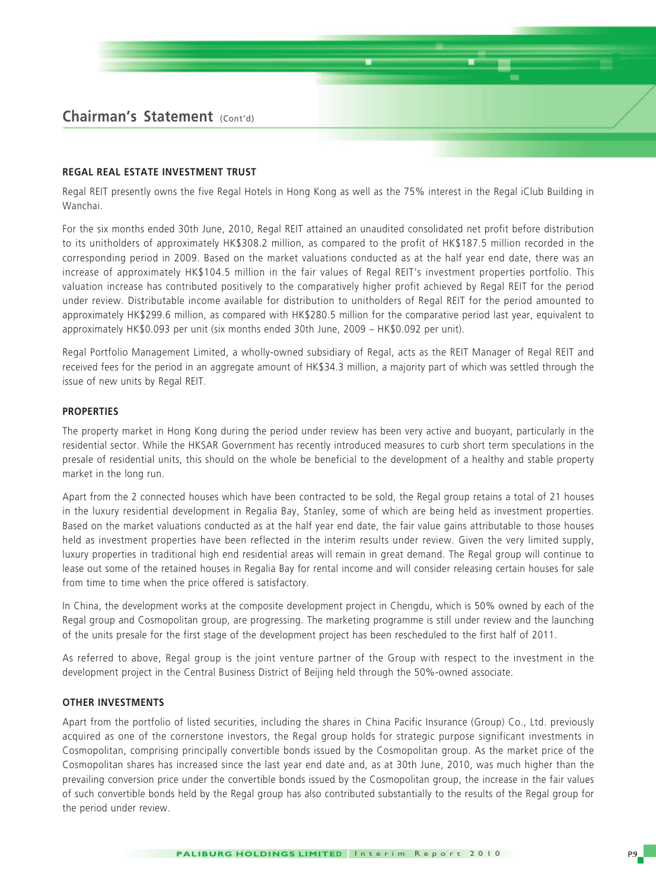#### **REGAL REAL ESTATE INVESTMENT TRUST**

Regal REIT presently owns the five Regal Hotels in Hong Kong as well as the 75% interest in the Regal iClub Building in Wanchai.

For the six months ended 30th June, 2010, Regal REIT attained an unaudited consolidated net profit before distribution to its unitholders of approximately HK\$308.2 million, as compared to the profit of HK\$187.5 million recorded in the corresponding period in 2009. Based on the market valuations conducted as at the half year end date, there was an increase of approximately HK\$104.5 million in the fair values of Regal REIT's investment properties portfolio. This valuation increase has contributed positively to the comparatively higher profit achieved by Regal REIT for the period under review. Distributable income available for distribution to unitholders of Regal REIT for the period amounted to approximately HK\$299.6 million, as compared with HK\$280.5 million for the comparative period last year, equivalent to approximately HK\$0.093 per unit (six months ended 30th June, 2009 – HK\$0.092 per unit).

Regal Portfolio Management Limited, a wholly-owned subsidiary of Regal, acts as the REIT Manager of Regal REIT and received fees for the period in an aggregate amount of HK\$34.3 million, a majority part of which was settled through the issue of new units by Regal REIT.

#### **PROPERTIES**

The property market in Hong Kong during the period under review has been very active and buoyant, particularly in the residential sector. While the HKSAR Government has recently introduced measures to curb short term speculations in the presale of residential units, this should on the whole be beneficial to the development of a healthy and stable property market in the long run.

Apart from the 2 connected houses which have been contracted to be sold, the Regal group retains a total of 21 houses in the luxury residential development in Regalia Bay, Stanley, some of which are being held as investment properties. Based on the market valuations conducted as at the half year end date, the fair value gains attributable to those houses held as investment properties have been reflected in the interim results under review. Given the very limited supply, luxury properties in traditional high end residential areas will remain in great demand. The Regal group will continue to lease out some of the retained houses in Regalia Bay for rental income and will consider releasing certain houses for sale from time to time when the price offered is satisfactory.

In China, the development works at the composite development project in Chengdu, which is 50% owned by each of the Regal group and Cosmopolitan group, are progressing. The marketing programme is still under review and the launching of the units presale for the first stage of the development project has been rescheduled to the first half of 2011.

As referred to above, Regal group is the joint venture partner of the Group with respect to the investment in the development project in the Central Business District of Beijing held through the 50%-owned associate.

#### **OTHER INVESTMENTS**

Apart from the portfolio of listed securities, including the shares in China Pacific Insurance (Group) Co., Ltd. previously acquired as one of the cornerstone investors, the Regal group holds for strategic purpose significant investments in Cosmopolitan, comprising principally convertible bonds issued by the Cosmopolitan group. As the market price of the Cosmopolitan shares has increased since the last year end date and, as at 30th June, 2010, was much higher than the prevailing conversion price under the convertible bonds issued by the Cosmopolitan group, the increase in the fair values of such convertible bonds held by the Regal group has also contributed substantially to the results of the Regal group for the period under review.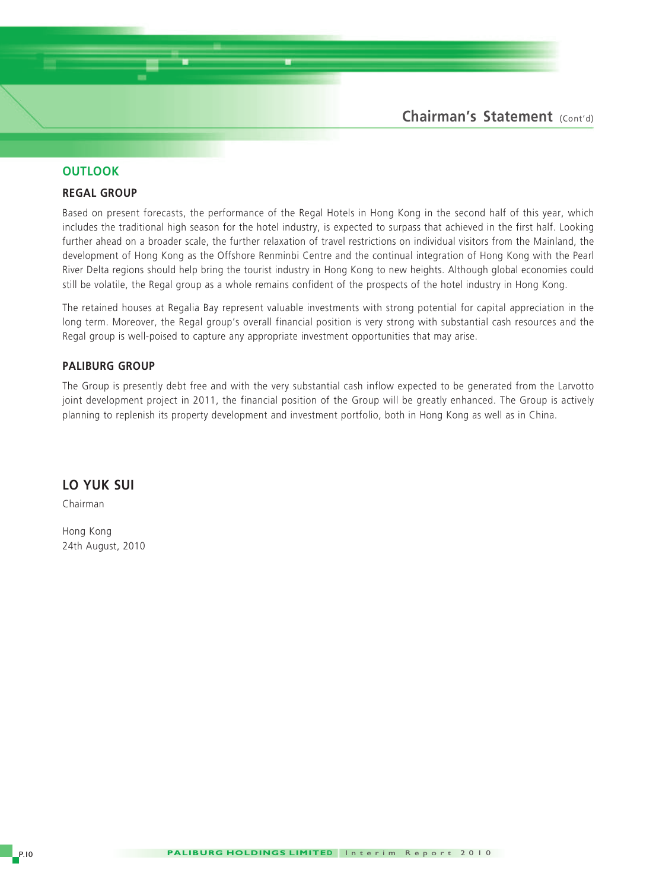

#### **OUTLOOK**

#### **REGAL GROUP**

Based on present forecasts, the performance of the Regal Hotels in Hong Kong in the second half of this year, which includes the traditional high season for the hotel industry, is expected to surpass that achieved in the first half. Looking further ahead on a broader scale, the further relaxation of travel restrictions on individual visitors from the Mainland, the development of Hong Kong as the Offshore Renminbi Centre and the continual integration of Hong Kong with the Pearl River Delta regions should help bring the tourist industry in Hong Kong to new heights. Although global economies could still be volatile, the Regal group as a whole remains confident of the prospects of the hotel industry in Hong Kong.

The retained houses at Regalia Bay represent valuable investments with strong potential for capital appreciation in the long term. Moreover, the Regal group's overall financial position is very strong with substantial cash resources and the Regal group is well-poised to capture any appropriate investment opportunities that may arise.

#### **PALIBURG GROUP**

The Group is presently debt free and with the very substantial cash inflow expected to be generated from the Larvotto joint development project in 2011, the financial position of the Group will be greatly enhanced. The Group is actively planning to replenish its property development and investment portfolio, both in Hong Kong as well as in China.

#### **LO YUK SUI**

Chairman

Hong Kong 24th August, 2010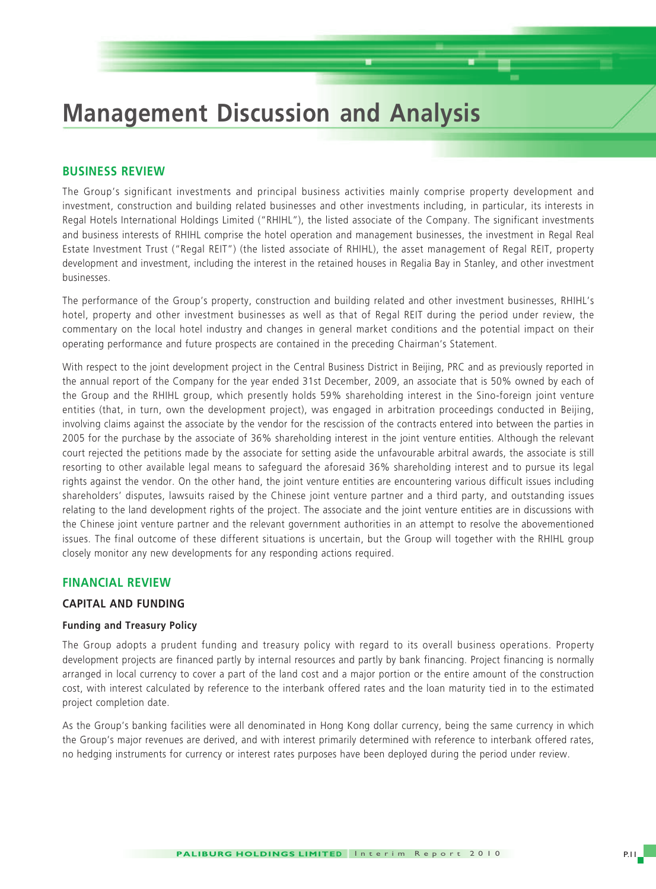## **Management Discussion and Analysis**

#### **BUSINESS REVIEW**

The Group's significant investments and principal business activities mainly comprise property development and investment, construction and building related businesses and other investments including, in particular, its interests in Regal Hotels International Holdings Limited ("RHIHL"), the listed associate of the Company. The significant investments and business interests of RHIHL comprise the hotel operation and management businesses, the investment in Regal Real Estate Investment Trust ("Regal REIT") (the listed associate of RHIHL), the asset management of Regal REIT, property development and investment, including the interest in the retained houses in Regalia Bay in Stanley, and other investment businesses.

The performance of the Group's property, construction and building related and other investment businesses, RHIHL's hotel, property and other investment businesses as well as that of Regal REIT during the period under review, the commentary on the local hotel industry and changes in general market conditions and the potential impact on their operating performance and future prospects are contained in the preceding Chairman's Statement.

With respect to the joint development project in the Central Business District in Beijing, PRC and as previously reported in the annual report of the Company for the year ended 31st December, 2009, an associate that is 50% owned by each of the Group and the RHIHL group, which presently holds 59% shareholding interest in the Sino-foreign joint venture entities (that, in turn, own the development project), was engaged in arbitration proceedings conducted in Beijing, involving claims against the associate by the vendor for the rescission of the contracts entered into between the parties in 2005 for the purchase by the associate of 36% shareholding interest in the joint venture entities. Although the relevant court rejected the petitions made by the associate for setting aside the unfavourable arbitral awards, the associate is still resorting to other available legal means to safeguard the aforesaid 36% shareholding interest and to pursue its legal rights against the vendor. On the other hand, the joint venture entities are encountering various difficult issues including shareholders' disputes, lawsuits raised by the Chinese joint venture partner and a third party, and outstanding issues relating to the land development rights of the project. The associate and the joint venture entities are in discussions with the Chinese joint venture partner and the relevant government authorities in an attempt to resolve the abovementioned issues. The final outcome of these different situations is uncertain, but the Group will together with the RHIHL group closely monitor any new developments for any responding actions required.

#### **FINANCIAL REVIEW**

#### **CAPITAL AND FUNDING**

#### **Funding and Treasury Policy**

The Group adopts a prudent funding and treasury policy with regard to its overall business operations. Property development projects are financed partly by internal resources and partly by bank financing. Project financing is normally arranged in local currency to cover a part of the land cost and a major portion or the entire amount of the construction cost, with interest calculated by reference to the interbank offered rates and the loan maturity tied in to the estimated project completion date.

As the Group's banking facilities were all denominated in Hong Kong dollar currency, being the same currency in which the Group's major revenues are derived, and with interest primarily determined with reference to interbank offered rates, no hedging instruments for currency or interest rates purposes have been deployed during the period under review.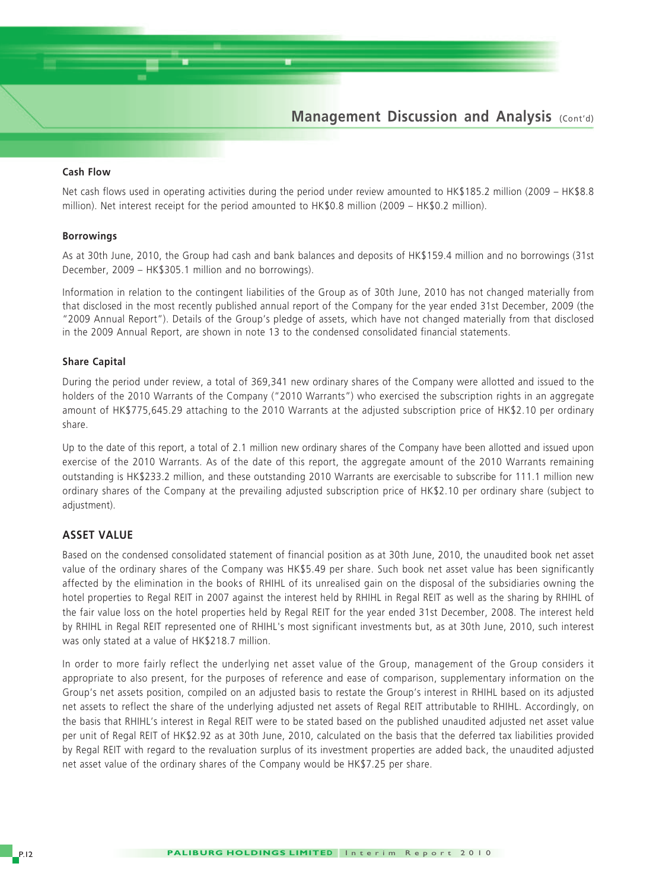

#### **Cash Flow**

Net cash flows used in operating activities during the period under review amounted to HK\$185.2 million (2009 – HK\$8.8 million). Net interest receipt for the period amounted to HK\$0.8 million (2009 – HK\$0.2 million).

#### **Borrowings**

As at 30th June, 2010, the Group had cash and bank balances and deposits of HK\$159.4 million and no borrowings (31st December, 2009 – HK\$305.1 million and no borrowings).

Information in relation to the contingent liabilities of the Group as of 30th June, 2010 has not changed materially from that disclosed in the most recently published annual report of the Company for the year ended 31st December, 2009 (the "2009 Annual Report"). Details of the Group's pledge of assets, which have not changed materially from that disclosed in the 2009 Annual Report, are shown in note 13 to the condensed consolidated financial statements.

#### **Share Capital**

During the period under review, a total of 369,341 new ordinary shares of the Company were allotted and issued to the holders of the 2010 Warrants of the Company ("2010 Warrants") who exercised the subscription rights in an aggregate amount of HK\$775,645.29 attaching to the 2010 Warrants at the adjusted subscription price of HK\$2.10 per ordinary share.

Up to the date of this report, a total of 2.1 million new ordinary shares of the Company have been allotted and issued upon exercise of the 2010 Warrants. As of the date of this report, the aggregate amount of the 2010 Warrants remaining outstanding is HK\$233.2 million, and these outstanding 2010 Warrants are exercisable to subscribe for 111.1 million new ordinary shares of the Company at the prevailing adjusted subscription price of HK\$2.10 per ordinary share (subject to adjustment).

#### **ASSET VALUE**

Based on the condensed consolidated statement of financial position as at 30th June, 2010, the unaudited book net asset value of the ordinary shares of the Company was HK\$5.49 per share. Such book net asset value has been significantly affected by the elimination in the books of RHIHL of its unrealised gain on the disposal of the subsidiaries owning the hotel properties to Regal REIT in 2007 against the interest held by RHIHL in Regal REIT as well as the sharing by RHIHL of the fair value loss on the hotel properties held by Regal REIT for the year ended 31st December, 2008. The interest held by RHIHL in Regal REIT represented one of RHIHL's most significant investments but, as at 30th June, 2010, such interest was only stated at a value of HK\$218.7 million.

In order to more fairly reflect the underlying net asset value of the Group, management of the Group considers it appropriate to also present, for the purposes of reference and ease of comparison, supplementary information on the Group's net assets position, compiled on an adjusted basis to restate the Group's interest in RHIHL based on its adjusted net assets to reflect the share of the underlying adjusted net assets of Regal REIT attributable to RHIHL. Accordingly, on the basis that RHIHL's interest in Regal REIT were to be stated based on the published unaudited adjusted net asset value per unit of Regal REIT of HK\$2.92 as at 30th June, 2010, calculated on the basis that the deferred tax liabilities provided by Regal REIT with regard to the revaluation surplus of its investment properties are added back, the unaudited adjusted net asset value of the ordinary shares of the Company would be HK\$7.25 per share.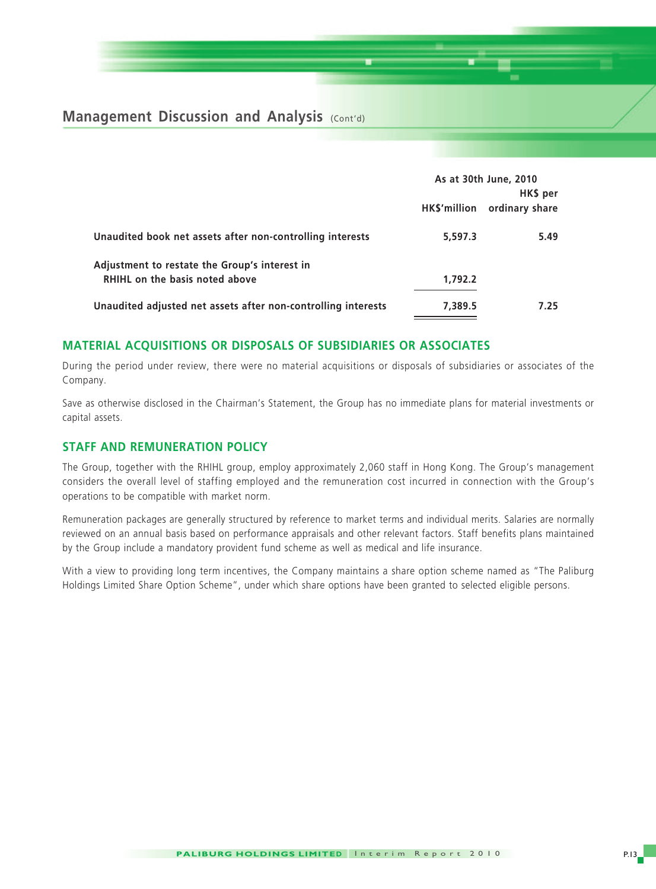**Management Discussion and Analysis (Cont'd)** 

|                                                               |              | As at 30th June, 2010<br>HK\$ per |
|---------------------------------------------------------------|--------------|-----------------------------------|
|                                                               | HK\$'million | ordinary share                    |
| Unaudited book net assets after non-controlling interests     | 5,597.3      | 5.49                              |
| Adjustment to restate the Group's interest in                 |              |                                   |
| RHIHL on the basis noted above                                | 1.792.2      |                                   |
| Unaudited adjusted net assets after non-controlling interests | 7,389.5      | 7.25                              |

#### **MATERIAL ACQUISITIONS OR DISPOSALS OF SUBSIDIARIES OR ASSOCIATES**

During the period under review, there were no material acquisitions or disposals of subsidiaries or associates of the Company.

Save as otherwise disclosed in the Chairman's Statement, the Group has no immediate plans for material investments or capital assets.

#### **STAFF AND REMUNERATION POLICY**

The Group, together with the RHIHL group, employ approximately 2,060 staff in Hong Kong. The Group's management considers the overall level of staffing employed and the remuneration cost incurred in connection with the Group's operations to be compatible with market norm.

Remuneration packages are generally structured by reference to market terms and individual merits. Salaries are normally reviewed on an annual basis based on performance appraisals and other relevant factors. Staff benefits plans maintained by the Group include a mandatory provident fund scheme as well as medical and life insurance.

With a view to providing long term incentives, the Company maintains a share option scheme named as "The Paliburg Holdings Limited Share Option Scheme", under which share options have been granted to selected eligible persons.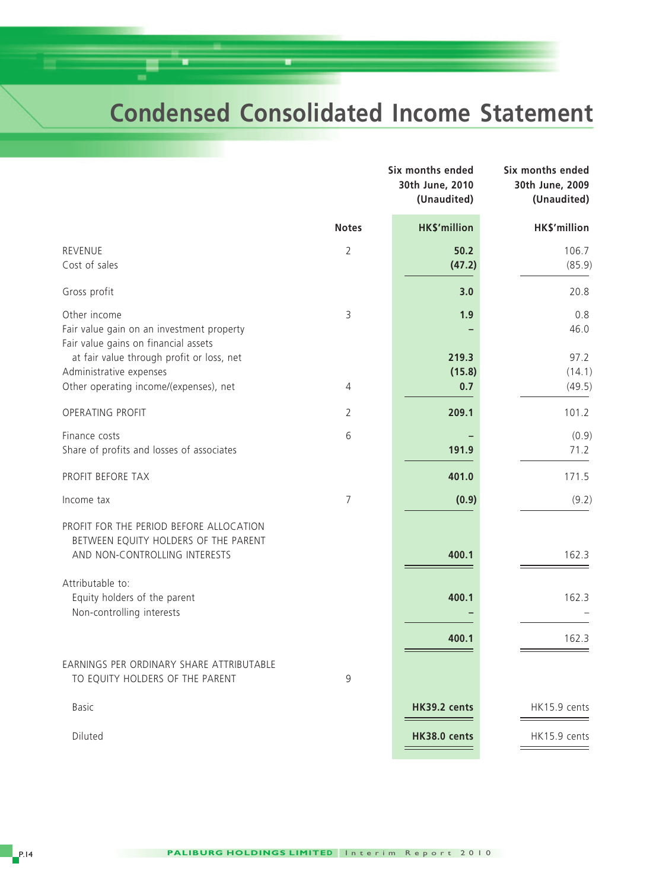## **Condensed Consolidated Income Statement**

|                                                                                                                  |                | Six months ended<br>30th June, 2010<br>(Unaudited) | Six months ended<br>30th June, 2009<br>(Unaudited) |
|------------------------------------------------------------------------------------------------------------------|----------------|----------------------------------------------------|----------------------------------------------------|
|                                                                                                                  | <b>Notes</b>   | <b>HK\$'million</b>                                | HK\$'million                                       |
| REVENUE<br>Cost of sales                                                                                         | $\overline{2}$ | 50.2<br>(47.2)                                     | 106.7<br>(85.9)                                    |
| Gross profit                                                                                                     |                | 3.0                                                | 20.8                                               |
| Other income<br>Fair value gain on an investment property<br>Fair value gains on financial assets                | 3              | 1.9                                                | 0.8<br>46.0                                        |
| at fair value through profit or loss, net<br>Administrative expenses<br>Other operating income/(expenses), net   | 4              | 219.3<br>(15.8)<br>0.7                             | 97.2<br>(14.1)<br>(49.5)                           |
| OPERATING PROFIT                                                                                                 | $\overline{2}$ | 209.1                                              | 101.2                                              |
| Finance costs<br>Share of profits and losses of associates                                                       | 6              | 191.9                                              | (0.9)<br>71.2                                      |
| PROFIT BEFORE TAX                                                                                                |                | 401.0                                              | 171.5                                              |
| Income tax                                                                                                       | $\overline{7}$ | (0.9)                                              | (9.2)                                              |
| PROFIT FOR THE PERIOD BEFORE ALLOCATION<br>BETWEEN EQUITY HOLDERS OF THE PARENT<br>AND NON-CONTROLLING INTERESTS |                | 400.1                                              | 162.3                                              |
| Attributable to:<br>Equity holders of the parent<br>Non-controlling interests                                    |                | 400.1                                              | 162.3                                              |
|                                                                                                                  |                | 400.1                                              | 162.3                                              |
| EARNINGS PER ORDINARY SHARE ATTRIBUTABLE<br>TO EQUITY HOLDERS OF THE PARENT                                      | 9              |                                                    |                                                    |
| <b>Basic</b>                                                                                                     |                | HK39.2 cents                                       | HK15.9 cents                                       |
| Diluted                                                                                                          |                | HK38.0 cents                                       | HK15.9 cents                                       |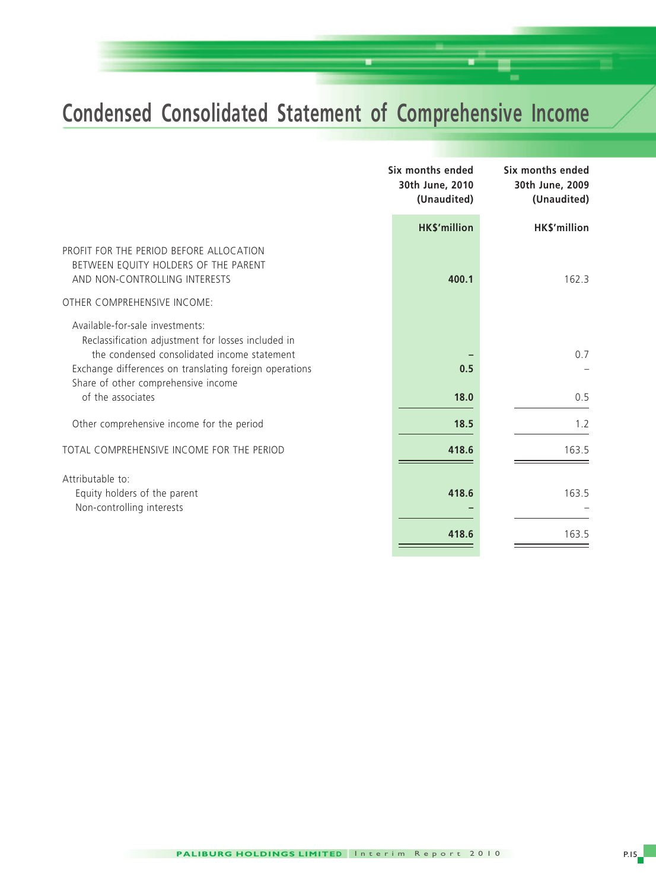# **Condensed Consolidated Statement of Comprehensive Income**

|                                                                                                                                                                                                                                                            | Six months ended<br>30th June, 2010<br>(Unaudited) | Six months ended<br>30th June, 2009<br>(Unaudited) |
|------------------------------------------------------------------------------------------------------------------------------------------------------------------------------------------------------------------------------------------------------------|----------------------------------------------------|----------------------------------------------------|
|                                                                                                                                                                                                                                                            | <b>HK\$'million</b>                                | HK\$'million                                       |
| PROFIT FOR THE PERIOD BEFORE ALLOCATION<br>BETWEEN EQUITY HOLDERS OF THE PARENT<br>AND NON-CONTROLLING INTERESTS                                                                                                                                           | 400.1                                              | 162.3                                              |
| OTHER COMPREHENSIVE INCOME:                                                                                                                                                                                                                                |                                                    |                                                    |
| Available-for-sale investments:<br>Reclassification adjustment for losses included in<br>the condensed consolidated income statement<br>Exchange differences on translating foreign operations<br>Share of other comprehensive income<br>of the associates | 0.5<br>18.0                                        | 0.7<br>0.5                                         |
| Other comprehensive income for the period                                                                                                                                                                                                                  | 18.5                                               | 1.2                                                |
| TOTAL COMPREHENSIVE INCOME FOR THE PERIOD                                                                                                                                                                                                                  | 418.6                                              | 163.5                                              |
| Attributable to:<br>Equity holders of the parent<br>Non-controlling interests                                                                                                                                                                              | 418.6                                              | 163.5                                              |
|                                                                                                                                                                                                                                                            | 418.6                                              | 163.5                                              |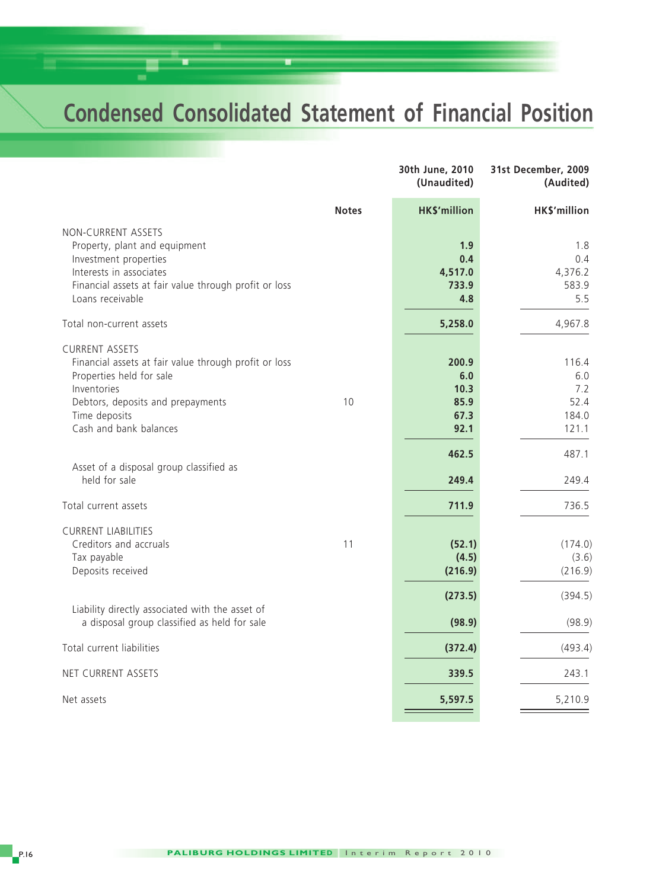## **Condensed Consolidated Statement of Financial Position**

|                                                                                                                                                                                                           |              | 30th June, 2010<br>(Unaudited)               | 31st December, 2009<br>(Audited)              |
|-----------------------------------------------------------------------------------------------------------------------------------------------------------------------------------------------------------|--------------|----------------------------------------------|-----------------------------------------------|
|                                                                                                                                                                                                           | <b>Notes</b> | <b>HK\$'million</b>                          | HK\$'million                                  |
| NON-CURRENT ASSETS<br>Property, plant and equipment<br>Investment properties<br>Interests in associates<br>Financial assets at fair value through profit or loss<br>Loans receivable                      |              | 1.9<br>0.4<br>4,517.0<br>733.9<br>4.8        | 1.8<br>0.4<br>4,376.2<br>583.9<br>5.5         |
| Total non-current assets                                                                                                                                                                                  |              | 5,258.0                                      | 4,967.8                                       |
| <b>CURRENT ASSETS</b><br>Financial assets at fair value through profit or loss<br>Properties held for sale<br>Inventories<br>Debtors, deposits and prepayments<br>Time deposits<br>Cash and bank balances | 10           | 200.9<br>6.0<br>10.3<br>85.9<br>67.3<br>92.1 | 116.4<br>6.0<br>7.2<br>52.4<br>184.0<br>121.1 |
| Asset of a disposal group classified as<br>held for sale                                                                                                                                                  |              | 462.5<br>249.4                               | 487.1<br>249.4                                |
| Total current assets                                                                                                                                                                                      |              | 711.9                                        | 736.5                                         |
| <b>CURRENT LIABILITIES</b><br>Creditors and accruals<br>Tax payable<br>Deposits received                                                                                                                  | 11           | (52.1)<br>(4.5)<br>(216.9)                   | (174.0)<br>(3.6)<br>(216.9)                   |
| Liability directly associated with the asset of<br>a disposal group classified as held for sale                                                                                                           |              | (273.5)<br>(98.9)                            | (394.5)<br>(98.9)                             |
| Total current liabilities                                                                                                                                                                                 |              | (372.4)                                      | (493.4)                                       |
| NET CURRENT ASSETS                                                                                                                                                                                        |              | 339.5                                        | 243.1                                         |
| Net assets                                                                                                                                                                                                |              | 5,597.5                                      | 5,210.9                                       |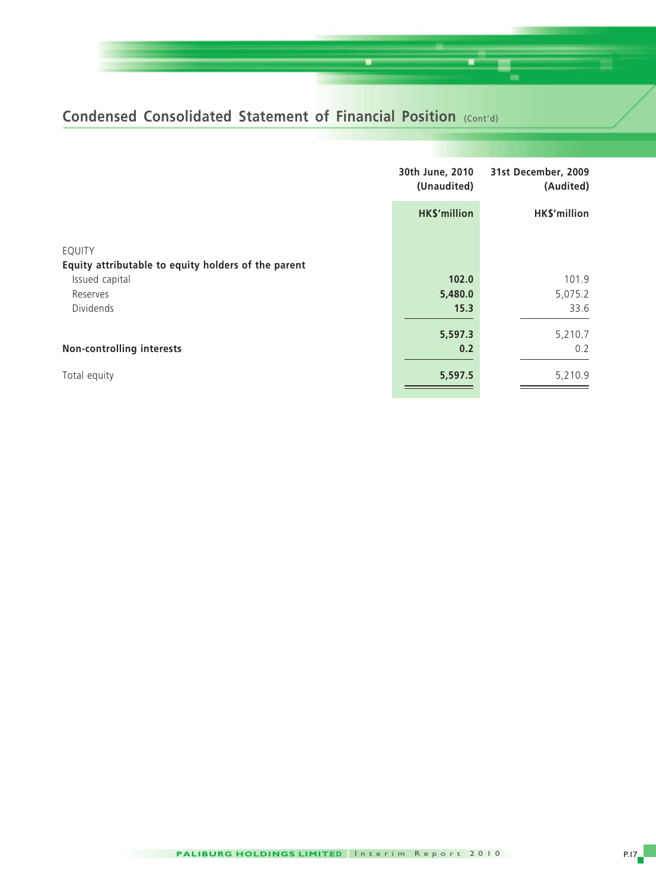## **Condensed Consolidated Statement of Financial Position (Cont'd)**

|                                                     | 30th June, 2010<br>(Unaudited) | 31st December, 2009<br>(Audited) |
|-----------------------------------------------------|--------------------------------|----------------------------------|
|                                                     | HK\$'million                   | HK\$'million                     |
| <b>EQUITY</b>                                       |                                |                                  |
| Equity attributable to equity holders of the parent |                                |                                  |
| Issued capital                                      | 102.0                          | 101.9                            |
| Reserves                                            | 5,480.0                        | 5,075.2                          |
| <b>Dividends</b>                                    | 15.3                           | 33.6                             |
|                                                     | 5,597.3                        | 5,210.7                          |
| <b>Non-controlling interests</b>                    | 0.2                            | 0.2                              |
| Total equity                                        | 5,597.5                        | 5,210.9                          |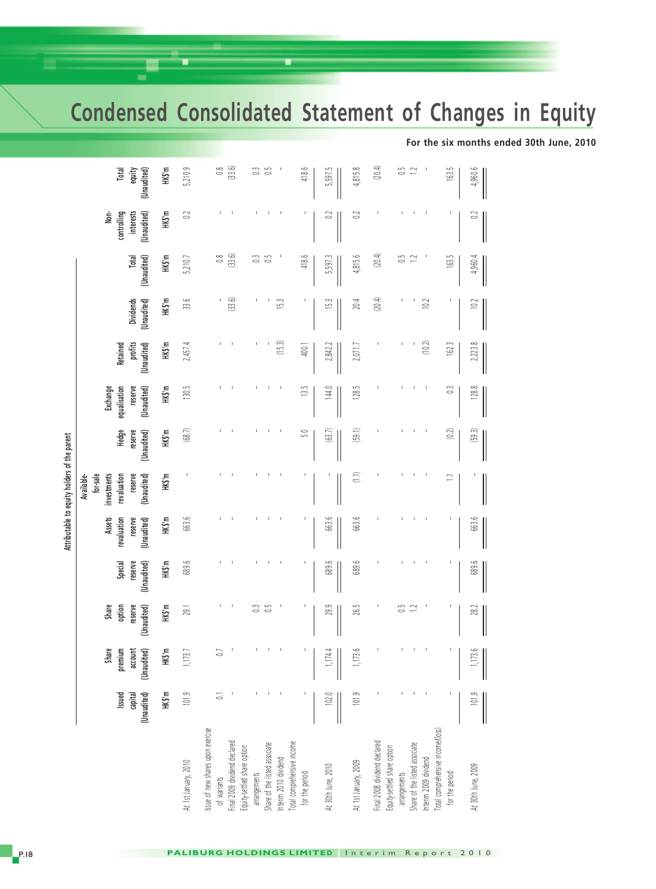**Condensed Consolidated Statement of Changes in Equity**

|                                                           |                                  |                                            |                                           |                                   |                                                        | Attributable to equity holders of the parent                                   |                                 |                                                    |                                           |                                 |                      |                                                 |                                |
|-----------------------------------------------------------|----------------------------------|--------------------------------------------|-------------------------------------------|-----------------------------------|--------------------------------------------------------|--------------------------------------------------------------------------------|---------------------------------|----------------------------------------------------|-------------------------------------------|---------------------------------|----------------------|-------------------------------------------------|--------------------------------|
|                                                           | (Unaudited)<br>Issued<br>capital | Share<br>premium<br>(Unaudited)<br>account | Share<br>reserve<br>option<br>(Unaudited) | Special<br>reserve<br>(Unaudited) | <b>Assets</b><br>revaluation<br>reserve<br>(Unaudited) | for-sale<br>reserve<br>(Unaudited)<br>Available-<br>investments<br>revaluation | Hedge<br>reserve<br>(Unaudited) | reserve<br>Exchange<br>equalisation<br>(Unaudited) | profits<br><b>Retained</b><br>(Unaudited) | <b>Dividends</b><br>(Unaudited) | Total<br>(Unaudited) | Non-<br>interests<br>(Unaudited)<br>controlling | Total<br>equity<br>(Unaudited) |
|                                                           | HKS'm                            | HK\$'m                                     | HK\$'m                                    | HK\$'m                            | HK\$'m                                                 | HK\$'m                                                                         | HKS'm                           | HK\$'m                                             | HKS'm                                     | HK\$'m                          | HK\$'m               | HK\$'m                                          | HKS'm                          |
| At 1st January, 2010                                      | 101.9                            | 1,173.                                     | 29.1                                      | 689.6                             | 663.6                                                  |                                                                                | (68.7)                          | 130.5                                              | 2,457.4                                   | 33.6                            | 5,210.7              | $\approx$                                       | 5,210.9                        |
| ssue of new shares upon exercise<br>of warrants           | $\overline{\omega}$              | $\ddot{\phantom{1}}$                       |                                           |                                   |                                                        |                                                                                |                                 |                                                    |                                           |                                 | $\frac{8}{10}$       |                                                 | $\frac{8}{2}$                  |
| inal 2009 dividend declared                               |                                  |                                            |                                           |                                   |                                                        |                                                                                |                                 |                                                    |                                           | (33.6)                          | (33.6)               |                                                 | (33.6)                         |
| quity-settled share option<br>arrangements                |                                  |                                            | $\frac{1}{2}$                             |                                   |                                                        |                                                                                |                                 |                                                    |                                           |                                 | 3                    |                                                 | 3                              |
| Share of the listed associate                             |                                  |                                            | $\frac{5}{2}$                             |                                   |                                                        |                                                                                |                                 |                                                    |                                           |                                 | $\frac{5}{2}$        |                                                 | 50                             |
| nterim 2010 dividend                                      |                                  |                                            |                                           |                                   |                                                        |                                                                                |                                 |                                                    | (15.3)                                    | 15.3                            |                      |                                                 |                                |
| otal comprehensive income<br>for the period               |                                  |                                            |                                           |                                   |                                                        |                                                                                | $\overline{5.0}$                | 13.5                                               | 400.1                                     |                                 | 418.6                |                                                 | 418.6                          |
| At 30th June, 2010                                        | 102.0                            | 1,174.                                     | 29.9                                      | 689.6                             | 663.6                                                  |                                                                                | (63.7)                          | 144.0                                              | 2,842.2                                   | 15.                             | 5,597.               | S                                               | 5,597.5                        |
| At 1st January, 2009                                      | 101.9                            | 1,173.6                                    | 26.5                                      | 689.6                             | 663.6                                                  | $\widehat{\Xi}$                                                                | (59.1)                          | 128.5                                              | 2,071.7                                   | 20.4                            | 4,815.6              | $\approx$                                       | 4,815.8                        |
| inal 2008 dividend declared<br>quity-settled share option |                                  |                                            |                                           |                                   |                                                        |                                                                                |                                 |                                                    |                                           | (20.4)                          | (20.4)               |                                                 | (20.4)                         |
| arrangements                                              |                                  |                                            | $\frac{5}{2}$                             |                                   |                                                        |                                                                                |                                 |                                                    |                                           |                                 | 50                   |                                                 | 50                             |
| Share of the listed associate<br>nterim 2009 dividend     |                                  |                                            |                                           |                                   |                                                        |                                                                                |                                 |                                                    | (10.2)                                    | 10.2                            |                      |                                                 |                                |
| Total comprehensive income/(loss)<br>for the period       |                                  |                                            |                                           |                                   |                                                        | 든                                                                              | $\tag{0.2}$                     | $\mathbb{C}$                                       | 162.3                                     |                                 | 163.5                |                                                 | 163.5                          |
| At 30th June, 2009                                        | 101.9                            | 1,173.6                                    | 28.                                       | 689.6                             | 663.6                                                  |                                                                                | (59.3)                          | $\infty$<br>128.                                   | 2,223.8                                   | $\approx$                       | 4,960.4              | S                                               | 4,960.6                        |
|                                                           |                                  |                                            |                                           |                                   |                                                        |                                                                                |                                 |                                                    |                                           |                                 |                      |                                                 |                                |

**For the six months ended 30th June, 2010**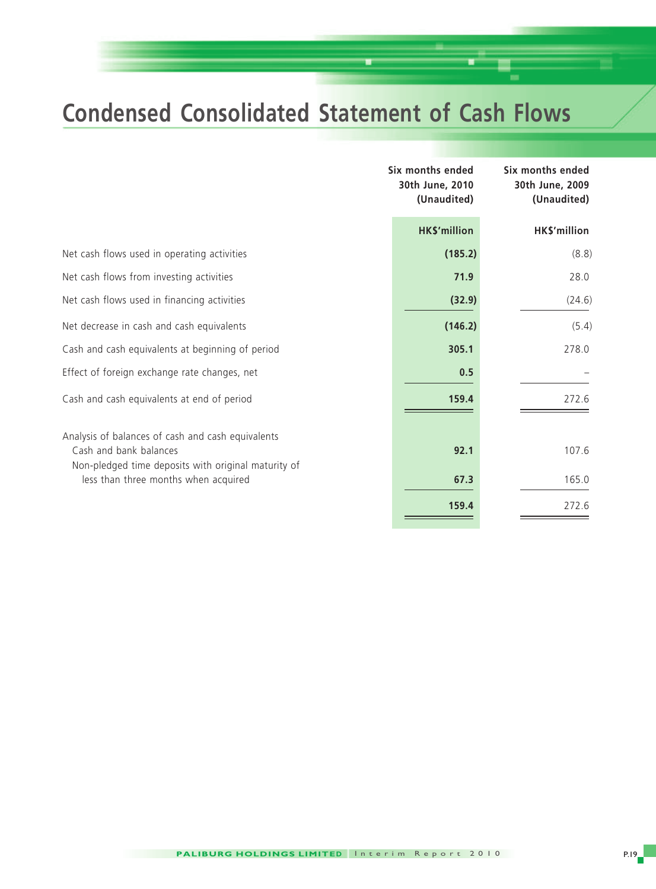## **Condensed Consolidated Statement of Cash Flows**

|                                                                                                                                    | Six months ended<br>30th June, 2010<br>(Unaudited) | Six months ended<br>30th June, 2009<br>(Unaudited) |
|------------------------------------------------------------------------------------------------------------------------------------|----------------------------------------------------|----------------------------------------------------|
|                                                                                                                                    | <b>HK\$'million</b>                                | HK\$'million                                       |
| Net cash flows used in operating activities                                                                                        | (185.2)                                            | (8.8)                                              |
| Net cash flows from investing activities                                                                                           | 71.9                                               | 28.0                                               |
| Net cash flows used in financing activities                                                                                        | (32.9)                                             | (24.6)                                             |
| Net decrease in cash and cash equivalents                                                                                          | (146.2)                                            | (5.4)                                              |
| Cash and cash equivalents at beginning of period                                                                                   | 305.1                                              | 278.0                                              |
| Effect of foreign exchange rate changes, net                                                                                       | 0.5                                                |                                                    |
| Cash and cash equivalents at end of period                                                                                         | 159.4                                              | 272.6                                              |
| Analysis of balances of cash and cash equivalents<br>Cash and bank balances<br>Non-pledged time deposits with original maturity of | 92.1                                               | 107.6                                              |
| less than three months when acquired                                                                                               | 67.3                                               | 165.0                                              |
|                                                                                                                                    | 159.4                                              | 272.6                                              |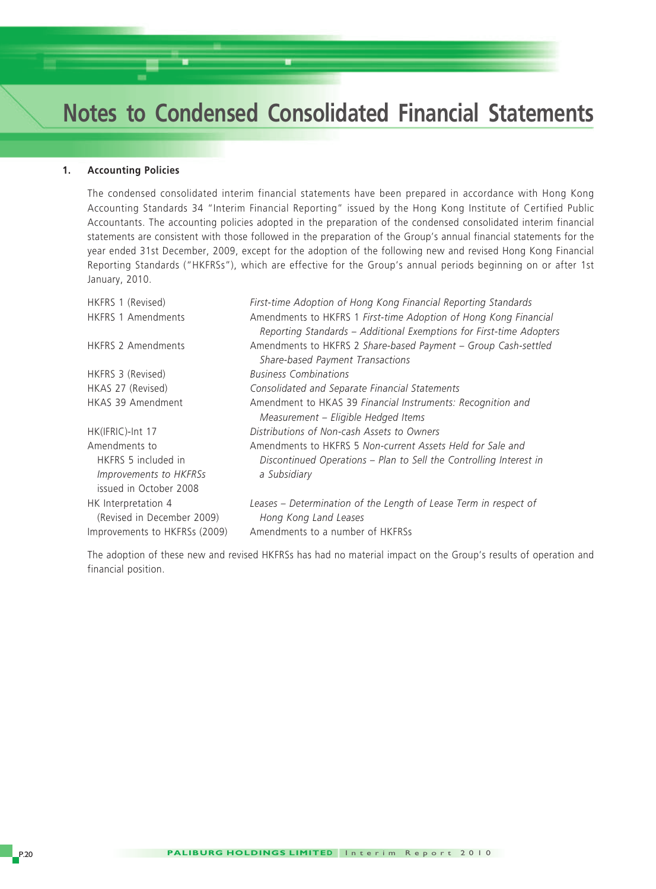#### **1. Accounting Policies**

The condensed consolidated interim financial statements have been prepared in accordance with Hong Kong Accounting Standards 34 "Interim Financial Reporting" issued by the Hong Kong Institute of Certified Public Accountants. The accounting policies adopted in the preparation of the condensed consolidated interim financial statements are consistent with those followed in the preparation of the Group's annual financial statements for the year ended 31st December, 2009, except for the adoption of the following new and revised Hong Kong Financial Reporting Standards ("HKFRSs"), which are effective for the Group's annual periods beginning on or after 1st January, 2010.

| HKFRS 1 (Revised)                                                                               | First-time Adoption of Hong Kong Financial Reporting Standards                                                                                   |
|-------------------------------------------------------------------------------------------------|--------------------------------------------------------------------------------------------------------------------------------------------------|
| <b>HKFRS 1 Amendments</b>                                                                       | Amendments to HKFRS 1 First-time Adoption of Hong Kong Financial<br>Reporting Standards - Additional Exemptions for First-time Adopters          |
| <b>HKFRS 2 Amendments</b>                                                                       | Amendments to HKFRS 2 Share-based Payment - Group Cash-settled<br>Share-based Payment Transactions                                               |
| HKFRS 3 (Revised)                                                                               | <b>Business Combinations</b>                                                                                                                     |
| HKAS 27 (Revised)                                                                               | Consolidated and Separate Financial Statements                                                                                                   |
| HKAS 39 Amendment                                                                               | Amendment to HKAS 39 Financial Instruments: Recognition and<br>Measurement - Eligible Hedged Items                                               |
| HK(IFRIC)-Int 17                                                                                | Distributions of Non-cash Assets to Owners                                                                                                       |
| Amendments to<br>HKFRS 5 included in<br><i>Improvements to HKFRSs</i><br>issued in October 2008 | Amendments to HKFRS 5 Non-current Assets Held for Sale and<br>Discontinued Operations - Plan to Sell the Controlling Interest in<br>a Subsidiary |
| HK Interpretation 4<br>(Revised in December 2009)<br>Improvements to HKFRSs (2009)              | Leases – Determination of the Length of Lease Term in respect of<br>Hong Kong Land Leases<br>Amendments to a number of HKFRSs                    |

The adoption of these new and revised HKFRSs has had no material impact on the Group's results of operation and financial position.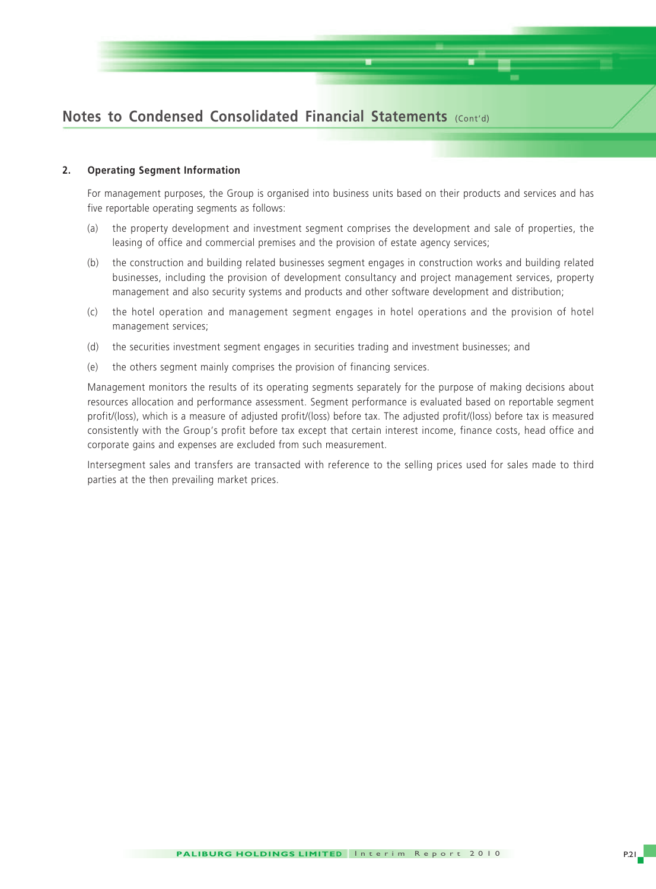

#### **2. Operating Segment Information**

For management purposes, the Group is organised into business units based on their products and services and has five reportable operating segments as follows:

- (a) the property development and investment segment comprises the development and sale of properties, the leasing of office and commercial premises and the provision of estate agency services;
- (b) the construction and building related businesses segment engages in construction works and building related businesses, including the provision of development consultancy and project management services, property management and also security systems and products and other software development and distribution;
- (c) the hotel operation and management segment engages in hotel operations and the provision of hotel management services;
- (d) the securities investment segment engages in securities trading and investment businesses; and
- (e) the others segment mainly comprises the provision of financing services.

Management monitors the results of its operating segments separately for the purpose of making decisions about resources allocation and performance assessment. Segment performance is evaluated based on reportable segment profit/(loss), which is a measure of adjusted profit/(loss) before tax. The adjusted profit/(loss) before tax is measured consistently with the Group's profit before tax except that certain interest income, finance costs, head office and corporate gains and expenses are excluded from such measurement.

Intersegment sales and transfers are transacted with reference to the selling prices used for sales made to third parties at the then prevailing market prices.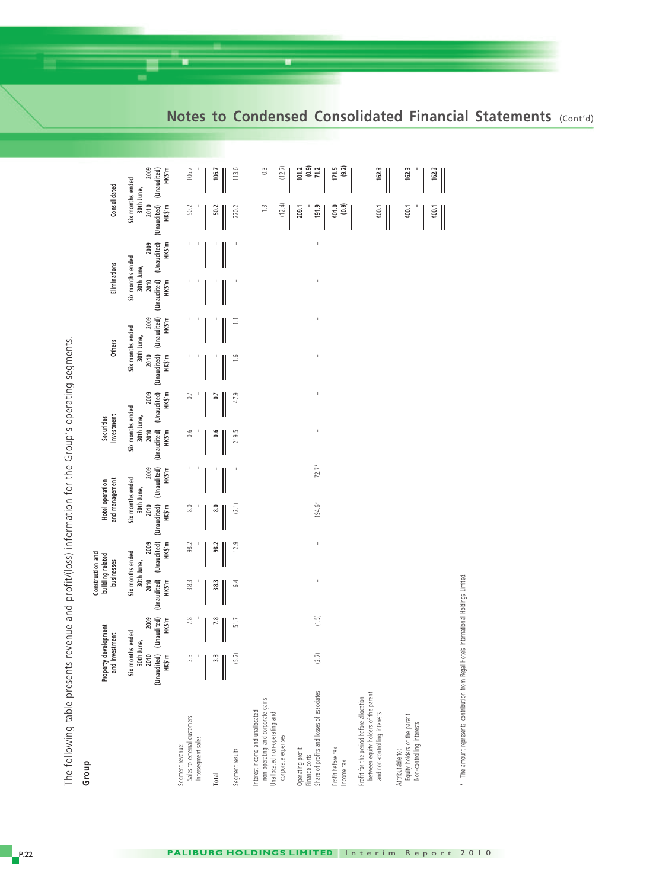|                                                                                                                            | Property development<br>and investment                          |                               |                | Construction and<br>building related<br>businesses                          |                                  | and management<br>Hotel operation                                           |                | investment<br><b>Securities</b>                                             |                | <b>Others</b>                                                               | Eliminations                                     |                                           |                                          | Consolidated                                     |
|----------------------------------------------------------------------------------------------------------------------------|-----------------------------------------------------------------|-------------------------------|----------------|-----------------------------------------------------------------------------|----------------------------------|-----------------------------------------------------------------------------|----------------|-----------------------------------------------------------------------------|----------------|-----------------------------------------------------------------------------|--------------------------------------------------|-------------------------------------------|------------------------------------------|--------------------------------------------------|
|                                                                                                                            | Six months ended<br>30th June,<br>2010<br>(Unaudited)<br>HK\$'m | (Unaudited)<br>2009<br>HK\$'m | 2010<br>HK\$'m | (Unaudited) (Unaudited)<br>2009<br>HK\$'m<br>Six months ended<br>30th June, | 2010<br>HK\$'m                   | (Unaudited) (Unaudited)<br>2009<br>HK\$'m<br>Six months ended<br>30th June, | 2010<br>HK\$'m | (Unaudited) (Unaudited)<br>2009<br>HK\$'m<br>Six months ended<br>30th June, | 2010<br>HK\$'m | (Unaudited) (Unaudited)<br>2009<br>HK\$'m<br>Six months ended<br>30th June, | Six months ended<br>30th June,<br>2010<br>HK\$'m | (Unaudited) (Unaudited)<br>HK\$'m<br>2009 | (Unaudited) (Unaudited)<br>2010<br>HKS'm | 2009<br>HK\$'m<br>Six months ended<br>30th June, |
| Sales to external customers<br>Intersegment sales<br>Segment revenue:                                                      | 3.3                                                             | 7.8                           | 38.3           | 98.2                                                                        | $\frac{0}{80}$                   | J.                                                                          | 0.6            | 0.7                                                                         |                |                                                                             |                                                  | J.                                        | 50.2                                     | 106.7                                            |
| Total                                                                                                                      | 3.3                                                             | 7.8                           | 38.3           | 98.2                                                                        | $\overline{\phantom{a}}^{\circ}$ |                                                                             | <b>0.6</b>     | C.O                                                                         |                |                                                                             |                                                  |                                           | 50.2                                     | 106.7                                            |
| Segment results                                                                                                            | (5.2)                                                           | 51.7                          | 6.4            | 12.9                                                                        | (2.1)                            |                                                                             | 219.5          | 47.9                                                                        | $\frac{6}{1}$  |                                                                             |                                                  |                                           | 220.2                                    | 113.6                                            |
| non-operating and corporate gains<br>nterest income and unallocated<br>Inallocated non-operating and<br>corporate expenses |                                                                 |                               |                |                                                                             |                                  |                                                                             |                |                                                                             |                |                                                                             |                                                  |                                           | (12.4)<br>$\frac{1}{2}$                  | $\frac{3}{2}$<br>(12.7)                          |
| Share of profits and losses of associates<br>Operating profit<br>Finance costs                                             | (2.7)                                                           | (1.5)                         | Ï              | Ï                                                                           | $194.6*$                         | $72.7*$                                                                     | t              | t                                                                           | t              | f,                                                                          |                                                  | Ï                                         | 191.9<br>209.1                           | (0.9)<br>101.2<br>71.2                           |
| Profit before tax<br>ncome tax                                                                                             |                                                                 |                               |                |                                                                             |                                  |                                                                             |                |                                                                             |                |                                                                             |                                                  |                                           | 401.0<br>(0.9)                           | (9.2)<br>171.5                                   |
| between equity holders of the parent<br>Profit for the period before allocation<br>and non-controlling interests           |                                                                 |                               |                |                                                                             |                                  |                                                                             |                |                                                                             |                |                                                                             |                                                  |                                           | 400.1                                    | 162.3                                            |
| Equity holders of the parent<br>Non-controlling interests<br>Attributable to:                                              |                                                                 |                               |                |                                                                             |                                  |                                                                             |                |                                                                             |                |                                                                             |                                                  |                                           | 400.1                                    | 162.3                                            |
|                                                                                                                            |                                                                 |                               |                |                                                                             |                                  |                                                                             |                |                                                                             |                |                                                                             |                                                  |                                           | 400.1                                    | 162.3                                            |
| * The amount represents contribution from Regal Hotels International Holdings Limited.                                     |                                                                 |                               |                |                                                                             |                                  |                                                                             |                |                                                                             |                |                                                                             |                                                  |                                           |                                          |                                                  |

The following table presents revenue and profit/(loss) information for the Group's operating segments. The following table presents revenue and profit/(loss) information for the Group's operating segments.

**Group**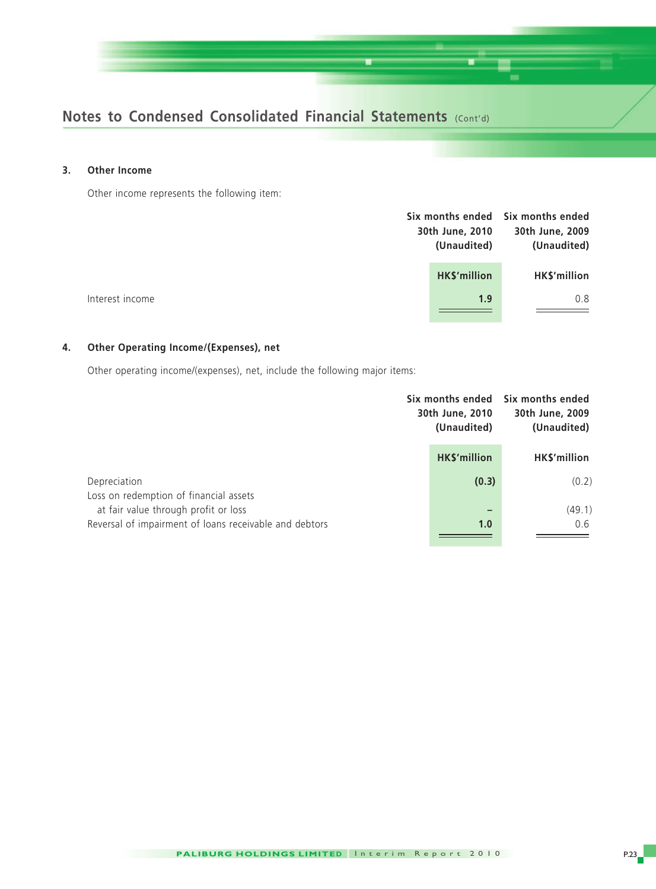

#### **3. Other Income**

Other income represents the following item:

|                 | 30th June, 2010<br>(Unaudited) | Six months ended Six months ended<br>30th June, 2009<br>(Unaudited) |
|-----------------|--------------------------------|---------------------------------------------------------------------|
|                 | HK\$'million                   | HK\$'million                                                        |
| Interest income |                                | 0.8<br>1.9                                                          |
|                 |                                |                                                                     |

#### **4. Other Operating Income/(Expenses), net**

Other operating income/(expenses), net, include the following major items:

|                                                                                                | 30th June, 2010<br>(Unaudited) | Six months ended Six months ended<br>30th June, 2009<br>(Unaudited) |
|------------------------------------------------------------------------------------------------|--------------------------------|---------------------------------------------------------------------|
|                                                                                                | HK\$'million                   | <b>HKS'million</b>                                                  |
| Depreciation<br>Loss on redemption of financial assets                                         | (0.3)                          | (0.2)                                                               |
| at fair value through profit or loss<br>Reversal of impairment of loans receivable and debtors | -<br>1.0                       | (49.1)<br>0.6                                                       |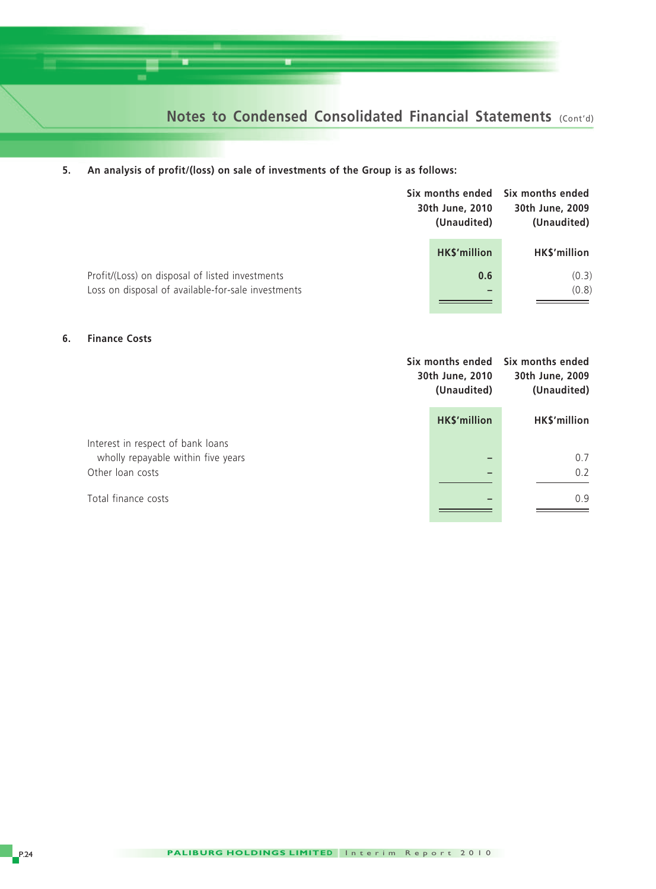

#### **5. An analysis of profit/(loss) on sale of investments of the Group is as follows:**

|                                                                                                       | 30th June, 2010<br>(Unaudited) | Six months ended Six months ended<br>30th June, 2009<br>(Unaudited) |
|-------------------------------------------------------------------------------------------------------|--------------------------------|---------------------------------------------------------------------|
|                                                                                                       | HK\$'million                   | HK\$'million                                                        |
| Profit/(Loss) on disposal of listed investments<br>Loss on disposal of available-for-sale investments | 0.6                            | (0.3)<br>(0.8)                                                      |
|                                                                                                       |                                |                                                                     |

#### **6. Finance Costs**

|                                                                         | 30th June, 2010<br>(Unaudited) | Six months ended Six months ended<br>30th June, 2009<br>(Unaudited) |
|-------------------------------------------------------------------------|--------------------------------|---------------------------------------------------------------------|
|                                                                         | HK\$'million                   | HK\$'million                                                        |
| Interest in respect of bank loans<br>wholly repayable within five years |                                | 0.7                                                                 |
| Other loan costs                                                        |                                | 0.2                                                                 |
| Total finance costs                                                     |                                | 0.9                                                                 |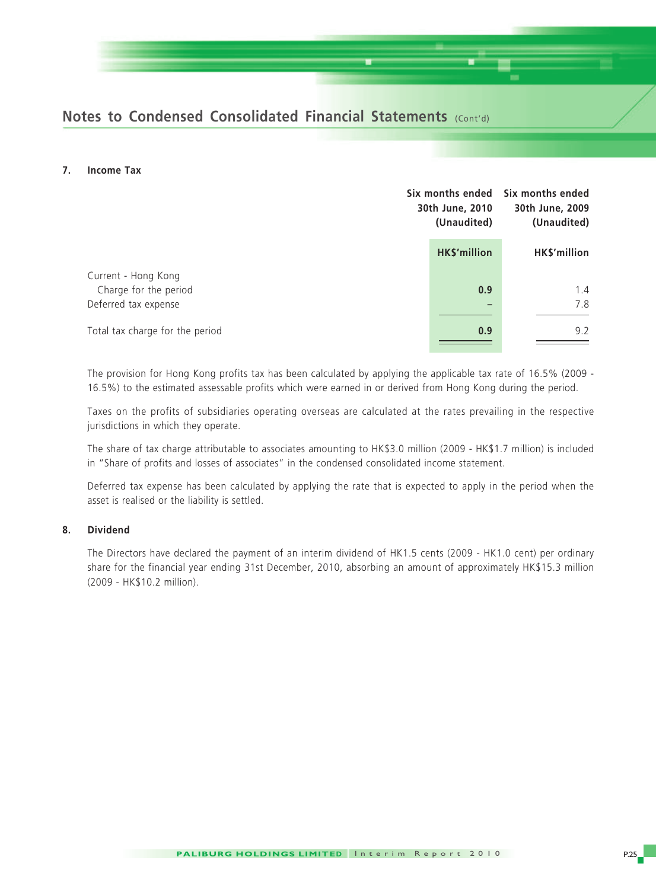#### **7. Income Tax**

|                                                         | Six months ended<br>30th June, 2010<br>(Unaudited) |              |
|---------------------------------------------------------|----------------------------------------------------|--------------|
|                                                         | HK\$'million                                       | HK\$'million |
| Current - Hong Kong<br>Charge for the period            | 0.9                                                | 1.4<br>7.8   |
| Deferred tax expense<br>Total tax charge for the period | 0.9                                                | 9.2          |

The provision for Hong Kong profits tax has been calculated by applying the applicable tax rate of 16.5% (2009 - 16.5%) to the estimated assessable profits which were earned in or derived from Hong Kong during the period.

Taxes on the profits of subsidiaries operating overseas are calculated at the rates prevailing in the respective jurisdictions in which they operate.

The share of tax charge attributable to associates amounting to HK\$3.0 million (2009 - HK\$1.7 million) is included in "Share of profits and losses of associates" in the condensed consolidated income statement.

Deferred tax expense has been calculated by applying the rate that is expected to apply in the period when the asset is realised or the liability is settled.

#### **8. Dividend**

The Directors have declared the payment of an interim dividend of HK1.5 cents (2009 - HK1.0 cent) per ordinary share for the financial year ending 31st December, 2010, absorbing an amount of approximately HK\$15.3 million (2009 - HK\$10.2 million).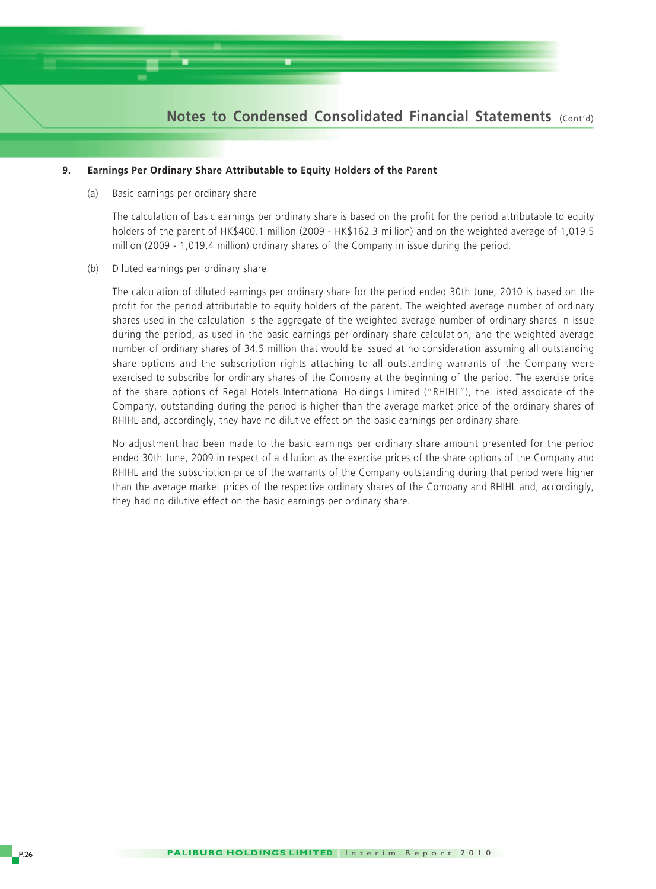

#### **9. Earnings Per Ordinary Share Attributable to Equity Holders of the Parent**

(a) Basic earnings per ordinary share

The calculation of basic earnings per ordinary share is based on the profit for the period attributable to equity holders of the parent of HK\$400.1 million (2009 - HK\$162.3 million) and on the weighted average of 1,019.5 million (2009 - 1,019.4 million) ordinary shares of the Company in issue during the period.

(b) Diluted earnings per ordinary share

The calculation of diluted earnings per ordinary share for the period ended 30th June, 2010 is based on the profit for the period attributable to equity holders of the parent. The weighted average number of ordinary shares used in the calculation is the aggregate of the weighted average number of ordinary shares in issue during the period, as used in the basic earnings per ordinary share calculation, and the weighted average number of ordinary shares of 34.5 million that would be issued at no consideration assuming all outstanding share options and the subscription rights attaching to all outstanding warrants of the Company were exercised to subscribe for ordinary shares of the Company at the beginning of the period. The exercise price of the share options of Regal Hotels International Holdings Limited ("RHIHL"), the listed assoicate of the Company, outstanding during the period is higher than the average market price of the ordinary shares of RHIHL and, accordingly, they have no dilutive effect on the basic earnings per ordinary share.

No adjustment had been made to the basic earnings per ordinary share amount presented for the period ended 30th June, 2009 in respect of a dilution as the exercise prices of the share options of the Company and RHIHL and the subscription price of the warrants of the Company outstanding during that period were higher than the average market prices of the respective ordinary shares of the Company and RHIHL and, accordingly, they had no dilutive effect on the basic earnings per ordinary share.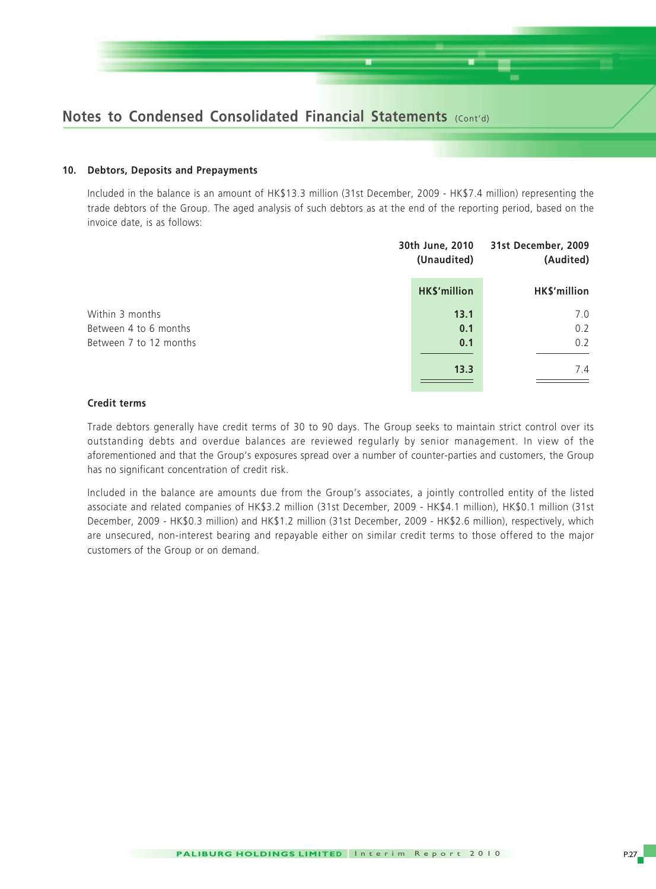

#### **10. Debtors, Deposits and Prepayments**

Included in the balance is an amount of HK\$13.3 million (31st December, 2009 - HK\$7.4 million) representing the trade debtors of the Group. The aged analysis of such debtors as at the end of the reporting period, based on the invoice date, is as follows:

|                        | 30th June, 2010<br>(Unaudited) | 31st December, 2009<br>(Audited) |  |
|------------------------|--------------------------------|----------------------------------|--|
|                        | HK\$'million                   | HK\$'million                     |  |
| Within 3 months        | 13.1                           | 7.0                              |  |
| Between 4 to 6 months  | 0.1                            | 0.2                              |  |
| Between 7 to 12 months | 0.1                            | 0.2                              |  |
|                        | 13.3                           | 7.4                              |  |

#### **Credit terms**

Trade debtors generally have credit terms of 30 to 90 days. The Group seeks to maintain strict control over its outstanding debts and overdue balances are reviewed regularly by senior management. In view of the aforementioned and that the Group's exposures spread over a number of counter-parties and customers, the Group has no significant concentration of credit risk.

Included in the balance are amounts due from the Group's associates, a jointly controlled entity of the listed associate and related companies of HK\$3.2 million (31st December, 2009 - HK\$4.1 million), HK\$0.1 million (31st December, 2009 - HK\$0.3 million) and HK\$1.2 million (31st December, 2009 - HK\$2.6 million), respectively, which are unsecured, non-interest bearing and repayable either on similar credit terms to those offered to the major customers of the Group or on demand.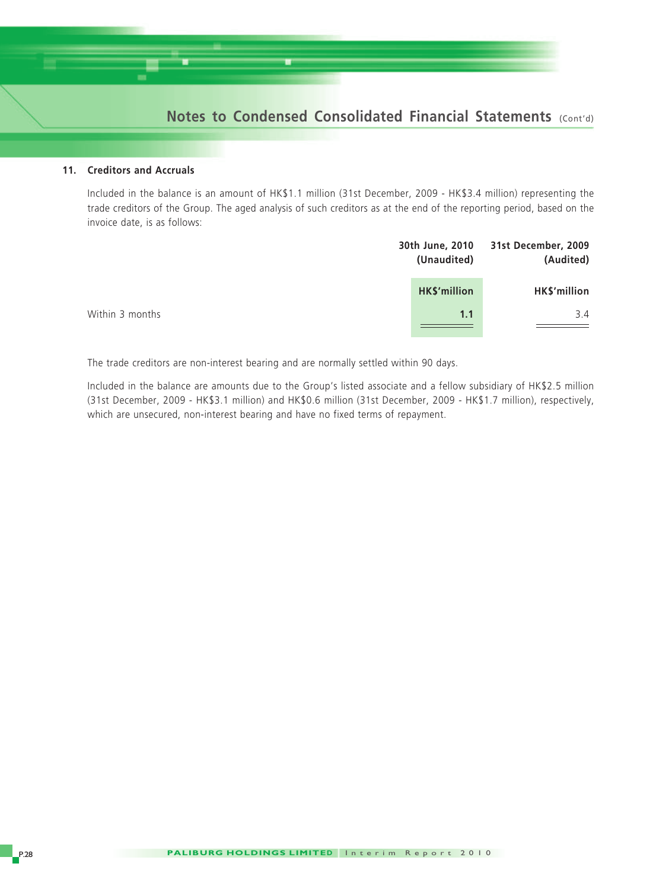#### **11. Creditors and Accruals**

Included in the balance is an amount of HK\$1.1 million (31st December, 2009 - HK\$3.4 million) representing the trade creditors of the Group. The aged analysis of such creditors as at the end of the reporting period, based on the invoice date, is as follows:

|                 | 30th June, 2010 | 31st December, 2009 |
|-----------------|-----------------|---------------------|
|                 | (Unaudited)     | (Audited)           |
|                 | HK\$'million    | HK\$'million        |
| Within 3 months | 1.1             | 3.4                 |

The trade creditors are non-interest bearing and are normally settled within 90 days.

Included in the balance are amounts due to the Group's listed associate and a fellow subsidiary of HK\$2.5 million (31st December, 2009 - HK\$3.1 million) and HK\$0.6 million (31st December, 2009 - HK\$1.7 million), respectively, which are unsecured, non-interest bearing and have no fixed terms of repayment.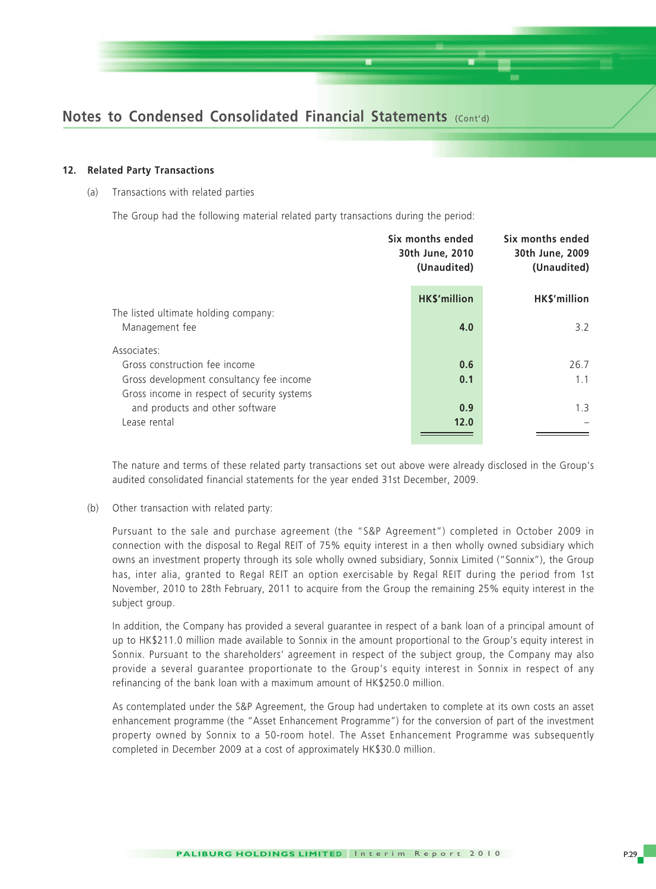

#### **12. Related Party Transactions**

(a) Transactions with related parties

The Group had the following material related party transactions during the period:

|                                             | Six months ended<br>30th June, 2010<br>(Unaudited) |                     | Six months ended<br>30th June, 2009<br>(Unaudited) |  |
|---------------------------------------------|----------------------------------------------------|---------------------|----------------------------------------------------|--|
|                                             |                                                    | <b>HK\$'million</b> | HK\$'million                                       |  |
| The listed ultimate holding company:        |                                                    |                     |                                                    |  |
| Management fee                              |                                                    | 4.0                 | 3.2                                                |  |
| Associates:                                 |                                                    |                     |                                                    |  |
| Gross construction fee income               |                                                    | 0.6                 | 26.7                                               |  |
| Gross development consultancy fee income    |                                                    | 0.1                 | 1.1                                                |  |
| Gross income in respect of security systems |                                                    |                     |                                                    |  |
| and products and other software             |                                                    | 0.9                 | 1.3                                                |  |
| Lease rental                                |                                                    | 12.0                |                                                    |  |
|                                             |                                                    |                     |                                                    |  |

The nature and terms of these related party transactions set out above were already disclosed in the Group's audited consolidated financial statements for the year ended 31st December, 2009.

(b) Other transaction with related party:

Pursuant to the sale and purchase agreement (the "S&P Agreement") completed in October 2009 in connection with the disposal to Regal REIT of 75% equity interest in a then wholly owned subsidiary which owns an investment property through its sole wholly owned subsidiary, Sonnix Limited ("Sonnix"), the Group has, inter alia, granted to Regal REIT an option exercisable by Regal REIT during the period from 1st November, 2010 to 28th February, 2011 to acquire from the Group the remaining 25% equity interest in the subject group.

In addition, the Company has provided a several guarantee in respect of a bank loan of a principal amount of up to HK\$211.0 million made available to Sonnix in the amount proportional to the Group's equity interest in Sonnix. Pursuant to the shareholders' agreement in respect of the subject group, the Company may also provide a several guarantee proportionate to the Group's equity interest in Sonnix in respect of any refinancing of the bank loan with a maximum amount of HK\$250.0 million.

As contemplated under the S&P Agreement, the Group had undertaken to complete at its own costs an asset enhancement programme (the "Asset Enhancement Programme") for the conversion of part of the investment property owned by Sonnix to a 50-room hotel. The Asset Enhancement Programme was subsequently completed in December 2009 at a cost of approximately HK\$30.0 million.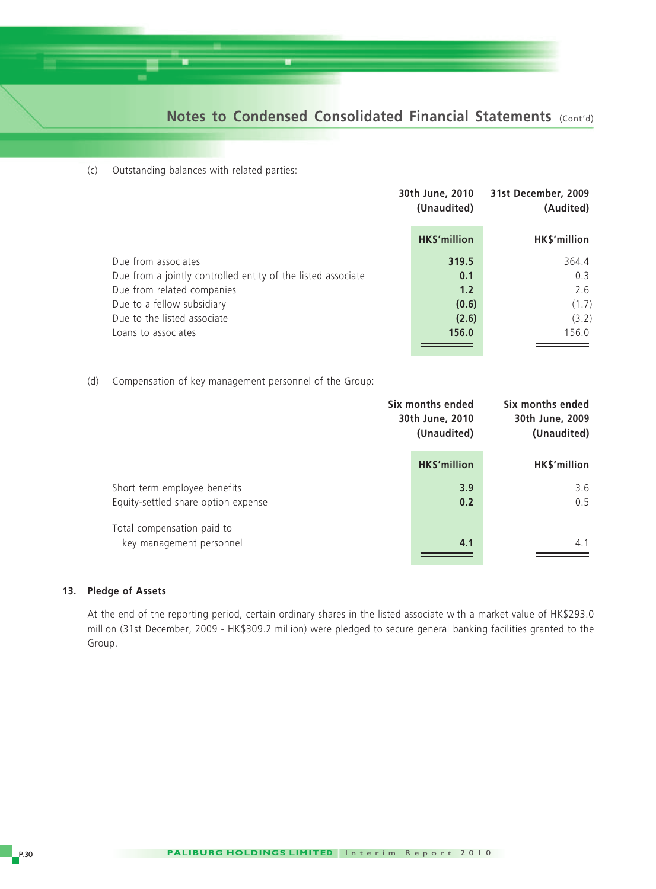(c) Outstanding balances with related parties:

|                                                              | 30th June, 2010<br>(Unaudited) | 31st December, 2009<br>(Audited) |  |
|--------------------------------------------------------------|--------------------------------|----------------------------------|--|
|                                                              | HK\$'million                   | HK\$'million                     |  |
| Due from associates                                          | 319.5                          | 364.4                            |  |
| Due from a jointly controlled entity of the listed associate | 0.1                            | 0.3                              |  |
| Due from related companies                                   | 1.2                            | 2.6                              |  |
| Due to a fellow subsidiary                                   | (0.6)                          | (1.7)                            |  |
| Due to the listed associate                                  | (2.6)                          | (3.2)                            |  |
| Loans to associates                                          | 156.0                          | 156.0                            |  |
|                                                              |                                |                                  |  |

(d) Compensation of key management personnel of the Group:

|                                                                     | Six months ended<br>30th June, 2010<br>(Unaudited) | Six months ended<br>30th June, 2009<br>(Unaudited) |  |
|---------------------------------------------------------------------|----------------------------------------------------|----------------------------------------------------|--|
|                                                                     | HK\$'million                                       | HK\$'million                                       |  |
| Short term employee benefits<br>Equity-settled share option expense | 3.9<br>0.2                                         | 3.6<br>0.5                                         |  |
| Total compensation paid to<br>key management personnel              | 4.1                                                | 4.1                                                |  |
|                                                                     |                                                    |                                                    |  |

#### **13. Pledge of Assets**

At the end of the reporting period, certain ordinary shares in the listed associate with a market value of HK\$293.0 million (31st December, 2009 - HK\$309.2 million) were pledged to secure general banking facilities granted to the Group.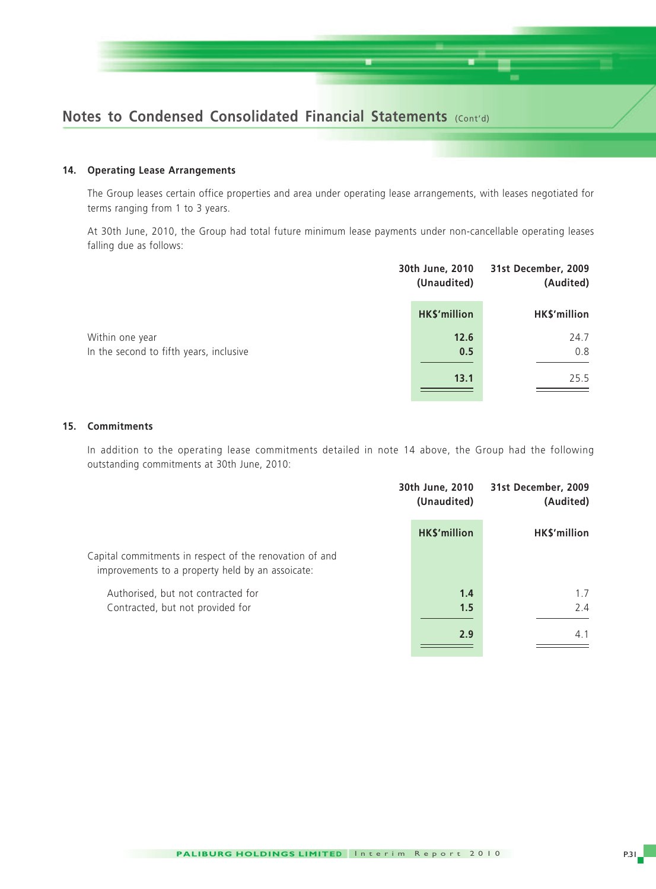

#### **14. Operating Lease Arrangements**

The Group leases certain office properties and area under operating lease arrangements, with leases negotiated for terms ranging from 1 to 3 years.

At 30th June, 2010, the Group had total future minimum lease payments under non-cancellable operating leases falling due as follows:

|                                                            | 30th June, 2010<br>(Unaudited) | 31st December, 2009<br>(Audited) |  |
|------------------------------------------------------------|--------------------------------|----------------------------------|--|
|                                                            | HK\$'million                   | HK\$'million                     |  |
| Within one year<br>In the second to fifth years, inclusive | 12.6<br>0.5                    | 24.7<br>0.8                      |  |
|                                                            | 13.1                           | 25.5                             |  |

#### **15. Commitments**

In addition to the operating lease commitments detailed in note 14 above, the Group had the following outstanding commitments at 30th June, 2010:

|                                                                                                             | 30th June, 2010<br>(Unaudited) | 31st December, 2009<br>(Audited) |  |
|-------------------------------------------------------------------------------------------------------------|--------------------------------|----------------------------------|--|
|                                                                                                             | HK\$'million                   | HK\$'million                     |  |
| Capital commitments in respect of the renovation of and<br>improvements to a property held by an assoicate: |                                |                                  |  |
| Authorised, but not contracted for                                                                          | 1.4                            | 1.7                              |  |
| Contracted, but not provided for                                                                            | 1.5                            | 2.4                              |  |
|                                                                                                             | 2.9                            | 4.1                              |  |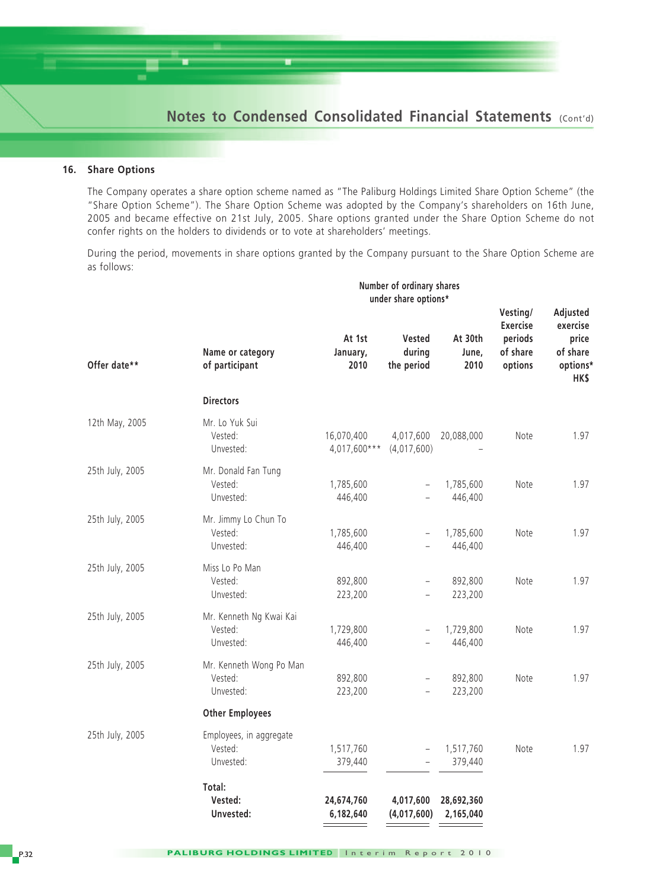#### **16. Share Options**

The Company operates a share option scheme named as "The Paliburg Holdings Limited Share Option Scheme" (the "Share Option Scheme"). The Share Option Scheme was adopted by the Company's shareholders on 16th June, 2005 and became effective on 21st July, 2005. Share options granted under the Share Option Scheme do not confer rights on the holders to dividends or to vote at shareholders' meetings.

During the period, movements in share options granted by the Company pursuant to the Share Option Scheme are as follows:

|                 | Number of ordinary shares<br>under share options* |                            |                                                      |                          |                                                               |                                                               |
|-----------------|---------------------------------------------------|----------------------------|------------------------------------------------------|--------------------------|---------------------------------------------------------------|---------------------------------------------------------------|
| Offer date**    | Name or category<br>of participant                | At 1st<br>January,<br>2010 | <b>Vested</b><br>during<br>the period                | At 30th<br>June,<br>2010 | Vesting/<br><b>Exercise</b><br>periods<br>of share<br>options | Adjusted<br>exercise<br>price<br>of share<br>options*<br>HK\$ |
|                 | <b>Directors</b>                                  |                            |                                                      |                          |                                                               |                                                               |
| 12th May, 2005  | Mr. Lo Yuk Sui<br>Vested:<br>Unvested:            | 16,070,400<br>4,017,600*** | 4,017,600<br>(4,017,600)                             | 20,088,000               | Note                                                          | 1.97                                                          |
| 25th July, 2005 | Mr. Donald Fan Tung<br>Vested:<br>Unvested:       | 1,785,600<br>446,400       | $\equiv$                                             | 1,785,600<br>446,400     | Note                                                          | 1.97                                                          |
| 25th July, 2005 | Mr. Jimmy Lo Chun To<br>Vested:<br>Unvested:      | 1,785,600<br>446,400       | $\overline{\phantom{0}}$<br>$\overline{\phantom{0}}$ | 1,785,600<br>446,400     | Note                                                          | 1.97                                                          |
| 25th July, 2005 | Miss Lo Po Man<br>Vested:<br>Unvested:            | 892,800<br>223,200         | $\qquad \qquad -$                                    | 892,800<br>223,200       | Note                                                          | 1.97                                                          |
| 25th July, 2005 | Mr. Kenneth Ng Kwai Kai<br>Vested:<br>Unvested:   | 1,729,800<br>446,400       | $\overline{\phantom{0}}$                             | 1,729,800<br>446,400     | Note                                                          | 1.97                                                          |
| 25th July, 2005 | Mr. Kenneth Wong Po Man<br>Vested:<br>Unvested:   | 892,800<br>223,200         | $\overline{\phantom{0}}$                             | 892,800<br>223,200       | Note                                                          | 1.97                                                          |
|                 | <b>Other Employees</b>                            |                            |                                                      |                          |                                                               |                                                               |
| 25th July, 2005 | Employees, in aggregate<br>Vested:<br>Unvested:   | 1,517,760<br>379,440       |                                                      | 1,517,760<br>379,440     | Note                                                          | 1.97                                                          |
|                 | Total:<br>Vested:<br>Unvested:                    | 24,674,760<br>6,182,640    | 4,017,600<br>(4,017,600)                             | 28,692,360<br>2,165,040  |                                                               |                                                               |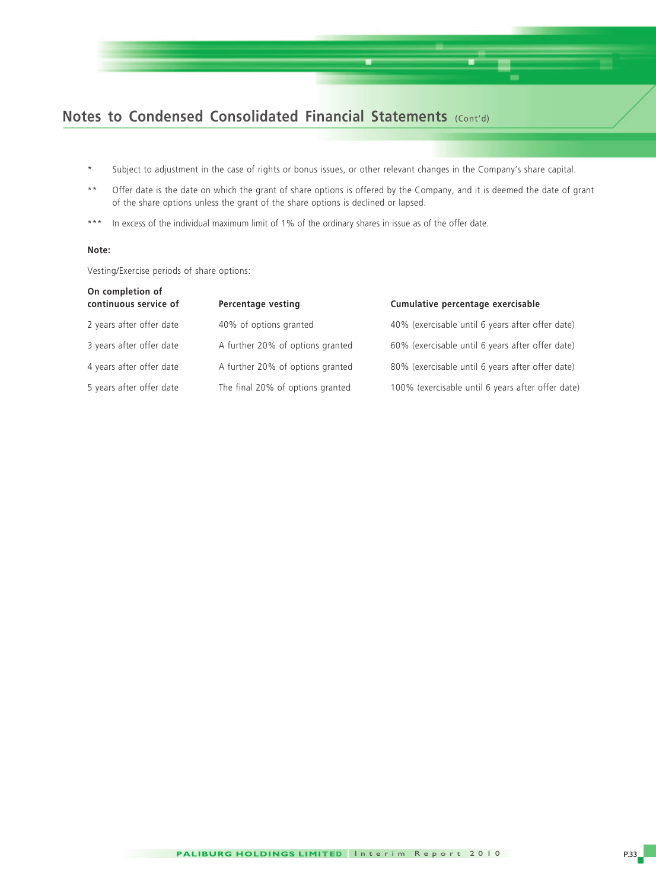

- \* Subject to adjustment in the case of rights or bonus issues, or other relevant changes in the Company's share capital.
- \*\* Offer date is the date on which the grant of share options is offered by the Company, and it is deemed the date of grant of the share options unless the grant of the share options is declined or lapsed.
- \*\*\* In excess of the individual maximum limit of 1% of the ordinary shares in issue as of the offer date.

#### **Note:**

Vesting/Exercise periods of share options:

| On completion of<br>continuous service of | Percentage vesting               | Cumulative percentage exercisable                 |
|-------------------------------------------|----------------------------------|---------------------------------------------------|
| 2 years after offer date                  | 40% of options granted           | 40% (exercisable until 6 years after offer date)  |
| 3 years after offer date                  | A further 20% of options granted | 60% (exercisable until 6 years after offer date)  |
| 4 years after offer date                  | A further 20% of options granted | 80% (exercisable until 6 years after offer date)  |
| 5 years after offer date                  | The final 20% of options granted | 100% (exercisable until 6 years after offer date) |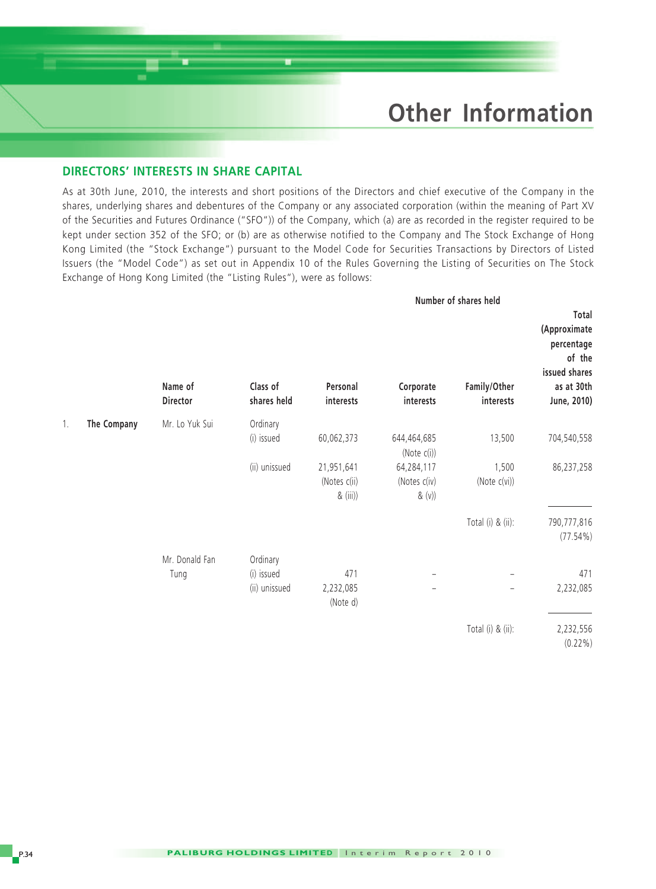## **Other Information**

#### **DIRECTORS' INTERESTS IN SHARE CAPITAL**

As at 30th June, 2010, the interests and short positions of the Directors and chief executive of the Company in the shares, underlying shares and debentures of the Company or any associated corporation (within the meaning of Part XV of the Securities and Futures Ordinance ("SFO")) of the Company, which (a) are as recorded in the register required to be kept under section 352 of the SFO; or (b) are as otherwise notified to the Company and The Stock Exchange of Hong Kong Limited (the "Stock Exchange") pursuant to the Model Code for Securities Transactions by Directors of Listed Issuers (the "Model Code") as set out in Appendix 10 of the Rules Governing the Listing of Securities on The Stock Exchange of Hong Kong Limited (the "Listing Rules"), were as follows:

|    |             |                     |                         | Number of shares held                  |                                      |                           |                                                                                             |
|----|-------------|---------------------|-------------------------|----------------------------------------|--------------------------------------|---------------------------|---------------------------------------------------------------------------------------------|
|    |             | Name of<br>Director | Class of<br>shares held | Personal<br>interests                  | Corporate<br>interests               | Family/Other<br>interests | Total<br>(Approximate<br>percentage<br>of the<br>issued shares<br>as at 30th<br>June, 2010) |
| 1. | The Company | Mr. Lo Yuk Sui      | Ordinary                |                                        |                                      |                           |                                                                                             |
|    |             |                     | (i) issued              | 60,062,373                             | 644,464,685<br>(Note (i))            | 13,500                    | 704,540,558                                                                                 |
|    |             |                     | (ii) unissued           | 21,951,641<br>(Notes c(ii)<br>& (iii)) | 64,284,117<br>(Notes c(iv)<br>& (v)) | 1,500<br>(Note c(vi))     | 86,237,258                                                                                  |
|    |             |                     |                         |                                        |                                      | Total (i) & (ii):         | 790,777,816<br>$(77.54\%)$                                                                  |
|    |             | Mr. Donald Fan      | Ordinary                |                                        |                                      |                           |                                                                                             |
|    |             | Tung                | (i) issued              | 471                                    |                                      |                           | 471                                                                                         |
|    |             |                     | (ii) unissued           | 2,232,085<br>(Note d)                  | -                                    | $\qquad \qquad -$         | 2,232,085                                                                                   |
|    |             |                     |                         |                                        |                                      | Total (i) & (ii):         | 2,232,556<br>$(0.22\%)$                                                                     |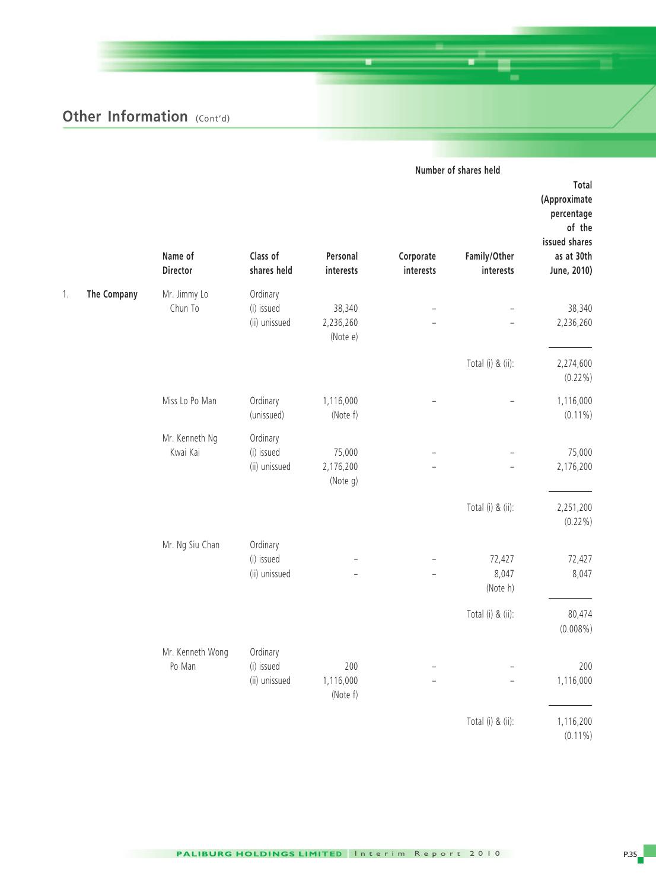|    |             |                            |                                         |                                 |                        | Number of shares held       |                                                                                             |
|----|-------------|----------------------------|-----------------------------------------|---------------------------------|------------------------|-----------------------------|---------------------------------------------------------------------------------------------|
|    |             | Name of<br>Director        | Class of<br>shares held                 | Personal<br>interests           | Corporate<br>interests | Family/Other<br>interests   | Total<br>(Approximate<br>percentage<br>of the<br>issued shares<br>as at 30th<br>June, 2010) |
| 1. | The Company | Mr. Jimmy Lo<br>Chun To    | Ordinary<br>(i) issued<br>(ii) unissued | 38,340<br>2,236,260<br>(Note e) |                        |                             | 38,340<br>2,236,260                                                                         |
|    |             |                            |                                         |                                 |                        | Total (i) & (ii):           | 2,274,600<br>$(0.22\%)$                                                                     |
|    |             | Miss Lo Po Man             | Ordinary<br>(unissued)                  | 1,116,000<br>(Note f)           |                        |                             | 1,116,000<br>$(0.11\%)$                                                                     |
|    |             | Mr. Kenneth Ng<br>Kwai Kai | Ordinary<br>(i) issued<br>(ii) unissued | 75,000<br>2,176,200<br>(Note g) |                        |                             | 75,000<br>2,176,200                                                                         |
|    |             |                            |                                         |                                 |                        | Total (i) & (ii):           | 2,251,200<br>$(0.22\%)$                                                                     |
|    |             | Mr. Ng Siu Chan            | Ordinary<br>(i) issued<br>(ii) unissued |                                 |                        | 72,427<br>8,047<br>(Note h) | 72,427<br>8,047                                                                             |
|    |             |                            |                                         |                                 |                        | Total (i) & (ii):           | 80,474<br>$(0.008\%)$                                                                       |
|    |             | Mr. Kenneth Wong<br>Po Man | Ordinary<br>(i) issued<br>(ii) unissued | 200<br>1,116,000<br>(Note f)    |                        |                             | 200<br>1,116,000                                                                            |
|    |             |                            |                                         |                                 |                        | Total (i) & (ii):           | 1,116,200<br>$(0.11\%)$                                                                     |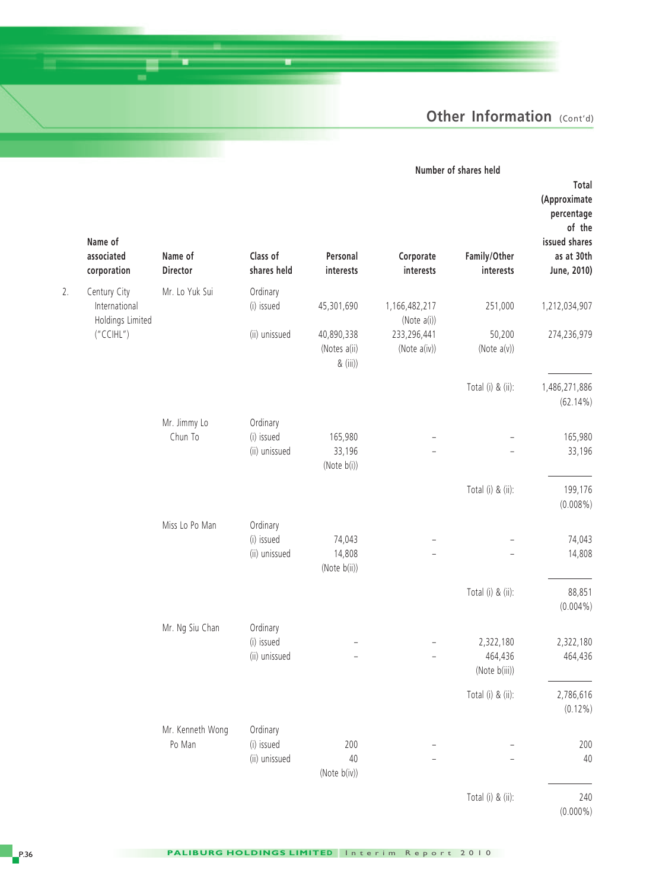|                                                                                             | Number of shares held                 |                              |                                        |                                         |                         |                                                   |    |
|---------------------------------------------------------------------------------------------|---------------------------------------|------------------------------|----------------------------------------|-----------------------------------------|-------------------------|---------------------------------------------------|----|
| Total<br>(Approximate<br>percentage<br>of the<br>issued shares<br>as at 30th<br>June, 2010) | Family/Other<br>interests             | Corporate<br>interests       | Personal<br>interests                  | Class of<br>shares held                 | Name of<br>Director     | Name of<br>associated<br>corporation              |    |
|                                                                                             |                                       |                              |                                        |                                         |                         |                                                   |    |
| 1,212,034,907                                                                               | 251,000                               | 1,166,482,217<br>(Note a(i)) | 45,301,690                             | Ordinary<br>(i) issued                  | Mr. Lo Yuk Sui          | Century City<br>International<br>Holdings Limited | 2. |
| 274,236,979                                                                                 | 50,200<br>(Note $a(v)$ )              | 233,296,441<br>(Note a(iv))  | 40,890,338<br>(Notes a(ii)<br>& (iii)) | (ii) unissued                           |                         | ("CCHL")                                          |    |
| 1,486,271,886<br>$(62.14\%)$                                                                | Total (i) & (ii):                     |                              |                                        |                                         |                         |                                                   |    |
| 165,980<br>33,196                                                                           |                                       |                              | 165,980<br>33,196<br>(Note $b(i)$ )    | Ordinary<br>(i) issued<br>(ii) unissued | Mr. Jimmy Lo<br>Chun To |                                                   |    |
| 199,176<br>$(0.008\%)$                                                                      | Total (i) & (ii):                     |                              |                                        |                                         |                         |                                                   |    |
| 74,043<br>14,808                                                                            |                                       |                              | 74,043<br>14,808<br>(Note b(ii))       | Ordinary<br>(i) issued<br>(ii) unissued | Miss Lo Po Man          |                                                   |    |
| 88,851<br>$(0.004\%)$                                                                       | Total (i) & (ii):                     |                              |                                        |                                         |                         |                                                   |    |
| 2,322,180<br>464,436                                                                        | 2,322,180<br>464,436<br>(Note b(iii)) |                              |                                        | Ordinary<br>(i) issued<br>(ii) unissued | Mr. Ng Siu Chan         |                                                   |    |
| 2,786,616<br>$(0.12\%)$                                                                     | Total (i) & (ii):                     |                              |                                        |                                         |                         |                                                   |    |
|                                                                                             |                                       |                              |                                        | Ordinary                                | Mr. Kenneth Wong        |                                                   |    |
| 200<br>40                                                                                   |                                       |                              | 200<br>$40\,$<br>(Note b(iv))          | (i) issued<br>(ii) unissued             | Po Man                  |                                                   |    |
| 240<br>$(0.000\%)$                                                                          | Total (i) & (ii):                     |                              |                                        |                                         |                         |                                                   |    |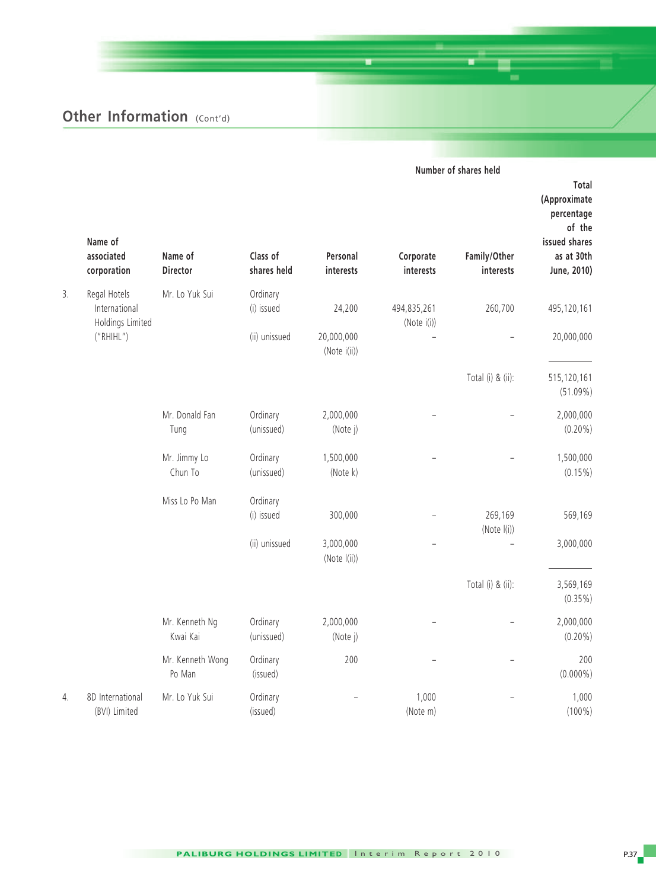|    |                                      |                            |                         | Number of shares held      |                            |                           |                                                                                             |
|----|--------------------------------------|----------------------------|-------------------------|----------------------------|----------------------------|---------------------------|---------------------------------------------------------------------------------------------|
|    | Name of<br>associated<br>corporation | Name of<br>Director        | Class of<br>shares held | Personal<br>interests      | Corporate<br>interests     | Family/Other<br>interests | Total<br>(Approximate<br>percentage<br>of the<br>issued shares<br>as at 30th<br>June, 2010) |
| 3. | Regal Hotels                         | Mr. Lo Yuk Sui             | Ordinary                |                            |                            |                           |                                                                                             |
|    | International<br>Holdings Limited    |                            | (i) issued              | 24,200                     | 494,835,261<br>(Note i(i)) | 260,700                   | 495,120,161                                                                                 |
|    | ("RHHL")                             |                            | (ii) unissued           | 20,000,000<br>(Note i(ii)) |                            |                           | 20,000,000                                                                                  |
|    |                                      |                            |                         |                            |                            | Total (i) & (ii):         | 515,120,161<br>$(51.09\%)$                                                                  |
|    |                                      | Mr. Donald Fan<br>Tung     | Ordinary<br>(unissued)  | 2,000,000<br>(Note j)      |                            |                           | 2,000,000<br>$(0.20\%)$                                                                     |
|    |                                      | Mr. Jimmy Lo<br>Chun To    | Ordinary<br>(unissued)  | 1,500,000<br>(Note k)      |                            |                           | 1,500,000<br>$(0.15\%)$                                                                     |
|    |                                      | Miss Lo Po Man             | Ordinary                |                            |                            |                           |                                                                                             |
|    |                                      |                            | (i) issued              | 300,000                    |                            | 269,169<br>(Note I(i))    | 569,169                                                                                     |
|    |                                      |                            | (ii) unissued           | 3,000,000<br>(Note I(ii))  |                            |                           | 3,000,000                                                                                   |
|    |                                      |                            |                         |                            |                            | Total (i) & (ii):         | 3,569,169<br>$(0.35\%)$                                                                     |
|    |                                      | Mr. Kenneth Ng<br>Kwai Kai | Ordinary<br>(unissued)  | 2,000,000<br>(Note j)      |                            |                           | 2,000,000<br>$(0.20\%)$                                                                     |
|    |                                      | Mr. Kenneth Wong<br>Po Man | Ordinary<br>(issued)    | 200                        |                            |                           | 200<br>$(0.000\%)$                                                                          |
| 4. | 8D International<br>(BVI) Limited    | Mr. Lo Yuk Sui             | Ordinary<br>(issued)    |                            | 1,000<br>(Note m)          |                           | 1,000<br>$(100\%)$                                                                          |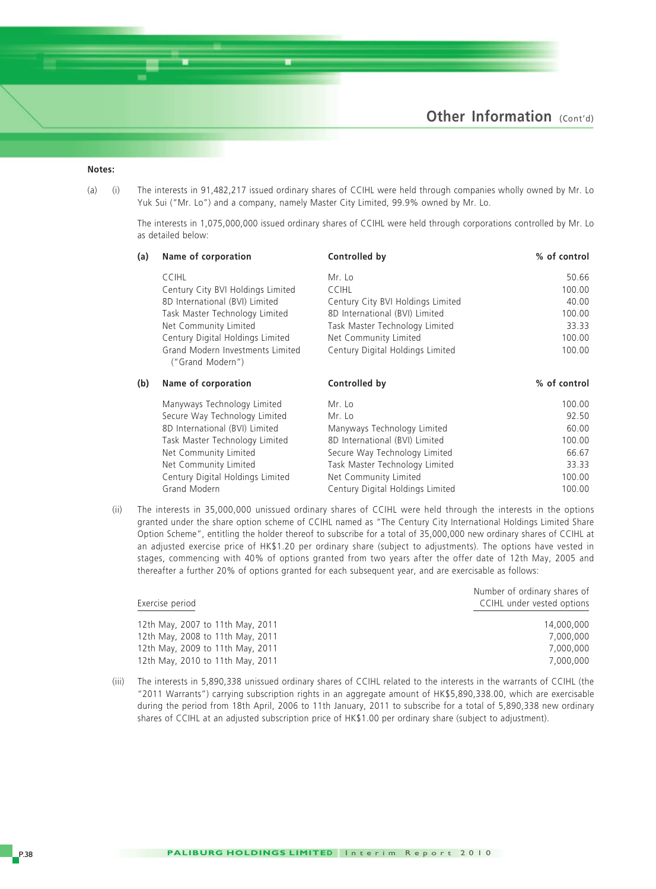#### **Notes:**

(a) (i) The interests in 91,482,217 issued ordinary shares of CCIHL were held through companies wholly owned by Mr. Lo Yuk Sui ("Mr. Lo") and a company, namely Master City Limited, 99.9% owned by Mr. Lo.

The interests in 1,075,000,000 issued ordinary shares of CCIHL were held through corporations controlled by Mr. Lo as detailed below:

| (a) | Name of corporation                                  | Controlled by                     | % of control |
|-----|------------------------------------------------------|-----------------------------------|--------------|
|     | <b>CCIHL</b>                                         | Mr. Lo                            | 50.66        |
|     | Century City BVI Holdings Limited                    | <b>CCIHL</b>                      | 100.00       |
|     | 8D International (BVI) Limited                       | Century City BVI Holdings Limited | 40.00        |
|     | Task Master Technology Limited                       | 8D International (BVI) Limited    | 100.00       |
|     | Net Community Limited                                | Task Master Technology Limited    | 33.33        |
|     | Century Digital Holdings Limited                     | Net Community Limited             | 100.00       |
|     | Grand Modern Investments Limited<br>("Grand Modern") | Century Digital Holdings Limited  | 100.00       |
| (b) | Name of corporation                                  | Controlled by                     | % of control |
|     | Manyways Technology Limited                          | Mr. Lo                            | 100.00       |
|     | Secure Way Technology Limited                        | Mr. Lo                            | 92.50        |
|     | 8D International (BVI) Limited                       | Manyways Technology Limited       | 60.00        |
|     | Task Master Technology Limited                       | 8D International (BVI) Limited    | 100.00       |
|     | Net Community Limited                                | Secure Way Technology Limited     | 66.67        |
|     | Net Community Limited                                | Task Master Technology Limited    | 33.33        |
|     | Century Digital Holdings Limited                     | Net Community Limited             | 100.00       |

(ii) The interests in 35,000,000 unissued ordinary shares of CCIHL were held through the interests in the options granted under the share option scheme of CCIHL named as "The Century City International Holdings Limited Share Option Scheme", entitling the holder thereof to subscribe for a total of 35,000,000 new ordinary shares of CCIHL at an adjusted exercise price of HK\$1.20 per ordinary share (subject to adjustments). The options have vested in stages, commencing with 40% of options granted from two years after the offer date of 12th May, 2005 and thereafter a further 20% of options granted for each subsequent year, and are exercisable as follows:

Grand Modern **Century Digital Holdings Limited** 100.00

|                                  | Number of ordinary shares of |
|----------------------------------|------------------------------|
| Exercise period                  | CCIHL under vested options   |
| 12th May, 2007 to 11th May, 2011 | 14,000,000                   |
| 12th May, 2008 to 11th May, 2011 | 7.000.000                    |
| 12th May, 2009 to 11th May, 2011 | 7.000.000                    |
| 12th May, 2010 to 11th May, 2011 | 7.000.000                    |
|                                  |                              |

(iii) The interests in 5,890,338 unissued ordinary shares of CCIHL related to the interests in the warrants of CCIHL (the "2011 Warrants") carrying subscription rights in an aggregate amount of HK\$5,890,338.00, which are exercisable during the period from 18th April, 2006 to 11th January, 2011 to subscribe for a total of 5,890,338 new ordinary shares of CCIHL at an adjusted subscription price of HK\$1.00 per ordinary share (subject to adjustment).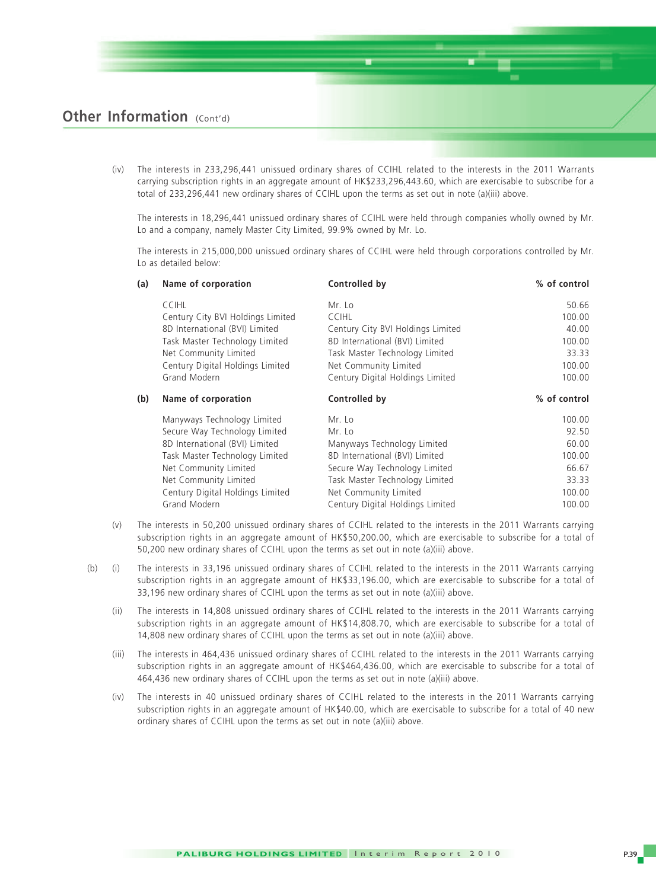(iv) The interests in 233,296,441 unissued ordinary shares of CCIHL related to the interests in the 2011 Warrants carrying subscription rights in an aggregate amount of HK\$233,296,443.60, which are exercisable to subscribe for a total of 233,296,441 new ordinary shares of CCIHL upon the terms as set out in note (a)(iii) above.

The interests in 18,296,441 unissued ordinary shares of CCIHL were held through companies wholly owned by Mr. Lo and a company, namely Master City Limited, 99.9% owned by Mr. Lo.

The interests in 215,000,000 unissued ordinary shares of CCIHL were held through corporations controlled by Mr. Lo as detailed below:

| (a) | Name of corporation               | Controlled by                     | % of control |
|-----|-----------------------------------|-----------------------------------|--------------|
|     | <b>CCIHL</b>                      | Mr. Lo                            | 50.66        |
|     | Century City BVI Holdings Limited | <b>CCIHL</b>                      | 100.00       |
|     | 8D International (BVI) Limited    | Century City BVI Holdings Limited | 40.00        |
|     | Task Master Technology Limited    | 8D International (BVI) Limited    | 100.00       |
|     | Net Community Limited             | Task Master Technology Limited    | 33.33        |
|     | Century Digital Holdings Limited  | Net Community Limited             | 100.00       |
|     | Grand Modern                      | Century Digital Holdings Limited  | 100.00       |
| (b) | Name of corporation               | Controlled by                     | % of control |
|     | Manyways Technology Limited       | Mr. Lo                            | 100.00       |
|     | Secure Way Technology Limited     | Mr. Lo                            | 92.50        |
|     | 8D International (BVI) Limited    | Manyways Technology Limited       | 60.00        |
|     | Task Master Technology Limited    | 8D International (BVI) Limited    | 100.00       |
|     | Net Community Limited             | Secure Way Technology Limited     | 66.67        |
|     | Net Community Limited             | Task Master Technology Limited    | 33.33        |
|     | Century Digital Holdings Limited  | Net Community Limited             | 100.00       |
|     | Grand Modern                      | Century Digital Holdings Limited  | 100.00       |

- (v) The interests in 50,200 unissued ordinary shares of CCIHL related to the interests in the 2011 Warrants carrying subscription rights in an aggregate amount of HK\$50,200.00, which are exercisable to subscribe for a total of 50,200 new ordinary shares of CCIHL upon the terms as set out in note (a)(iii) above.
- (b) (i) The interests in 33,196 unissued ordinary shares of CCIHL related to the interests in the 2011 Warrants carrying subscription rights in an aggregate amount of HK\$33,196.00, which are exercisable to subscribe for a total of 33,196 new ordinary shares of CCIHL upon the terms as set out in note (a)(iii) above.
	- (ii) The interests in 14,808 unissued ordinary shares of CCIHL related to the interests in the 2011 Warrants carrying subscription rights in an aggregate amount of HK\$14,808.70, which are exercisable to subscribe for a total of 14,808 new ordinary shares of CCIHL upon the terms as set out in note (a)(iii) above.
	- (iii) The interests in 464,436 unissued ordinary shares of CCIHL related to the interests in the 2011 Warrants carrying subscription rights in an aggregate amount of HK\$464,436.00, which are exercisable to subscribe for a total of 464,436 new ordinary shares of CCIHL upon the terms as set out in note (a)(iii) above.
	- (iv) The interests in 40 unissued ordinary shares of CCIHL related to the interests in the 2011 Warrants carrying subscription rights in an aggregate amount of HK\$40.00, which are exercisable to subscribe for a total of 40 new ordinary shares of CCIHL upon the terms as set out in note (a)(iii) above.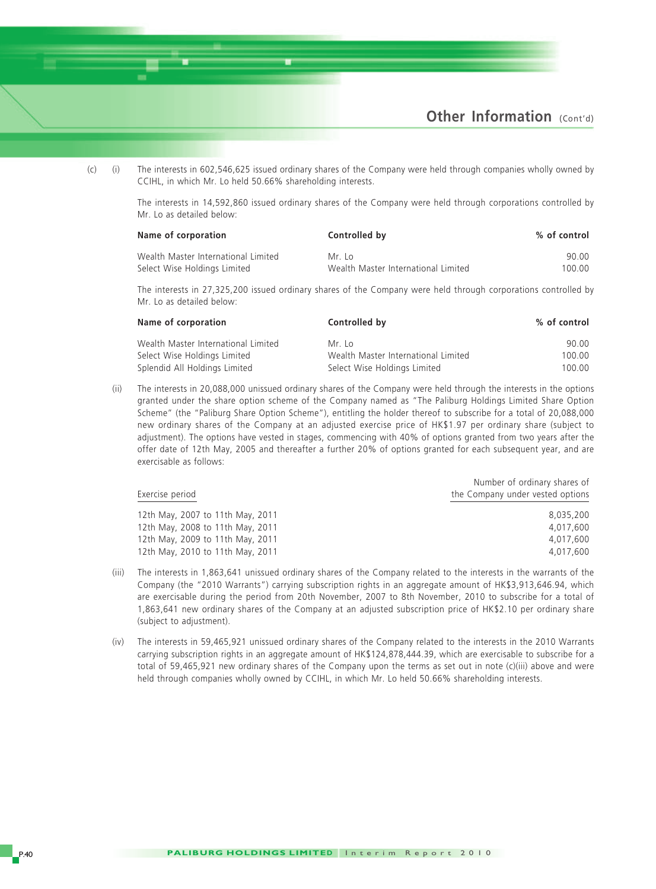

(c) (i) The interests in 602,546,625 issued ordinary shares of the Company were held through companies wholly owned by CCIHL, in which Mr. Lo held 50.66% shareholding interests.

The interests in 14,592,860 issued ordinary shares of the Company were held through corporations controlled by Mr. Lo as detailed below:

| Name of corporation                 | Controlled by                       | % of control |
|-------------------------------------|-------------------------------------|--------------|
| Wealth Master International Limited | Mr Io                               | 90.00        |
| Select Wise Holdings Limited        | Wealth Master International Limited | 100.00       |

The interests in 27,325,200 issued ordinary shares of the Company were held through corporations controlled by Mr. Lo as detailed below:

| Name of corporation                 | Controlled by                       | % of control |
|-------------------------------------|-------------------------------------|--------------|
| Wealth Master International Limited | Mr Io                               | 90.00        |
| Select Wise Holdings Limited        | Wealth Master International Limited | 100.00       |
| Splendid All Holdings Limited       | Select Wise Holdings Limited        | 100.00       |

(ii) The interests in 20,088,000 unissued ordinary shares of the Company were held through the interests in the options granted under the share option scheme of the Company named as "The Paliburg Holdings Limited Share Option Scheme" (the "Paliburg Share Option Scheme"), entitling the holder thereof to subscribe for a total of 20,088,000 new ordinary shares of the Company at an adjusted exercise price of HK\$1.97 per ordinary share (subject to adjustment). The options have vested in stages, commencing with 40% of options granted from two years after the offer date of 12th May, 2005 and thereafter a further 20% of options granted for each subsequent year, and are exercisable as follows:

|                                  | Number of ordinary shares of     |
|----------------------------------|----------------------------------|
| Exercise period                  | the Company under vested options |
| 12th May, 2007 to 11th May, 2011 | 8.035.200                        |
| 12th May, 2008 to 11th May, 2011 | 4.017.600                        |
| 12th May, 2009 to 11th May, 2011 | 4.017.600                        |
| 12th May, 2010 to 11th May, 2011 | 4.017.600                        |

- (iii) The interests in 1,863,641 unissued ordinary shares of the Company related to the interests in the warrants of the Company (the "2010 Warrants") carrying subscription rights in an aggregate amount of HK\$3,913,646.94, which are exercisable during the period from 20th November, 2007 to 8th November, 2010 to subscribe for a total of 1,863,641 new ordinary shares of the Company at an adjusted subscription price of HK\$2.10 per ordinary share (subject to adjustment).
- (iv) The interests in 59,465,921 unissued ordinary shares of the Company related to the interests in the 2010 Warrants carrying subscription rights in an aggregate amount of HK\$124,878,444.39, which are exercisable to subscribe for a total of 59,465,921 new ordinary shares of the Company upon the terms as set out in note (c)(iii) above and were held through companies wholly owned by CCIHL, in which Mr. Lo held 50.66% shareholding interests.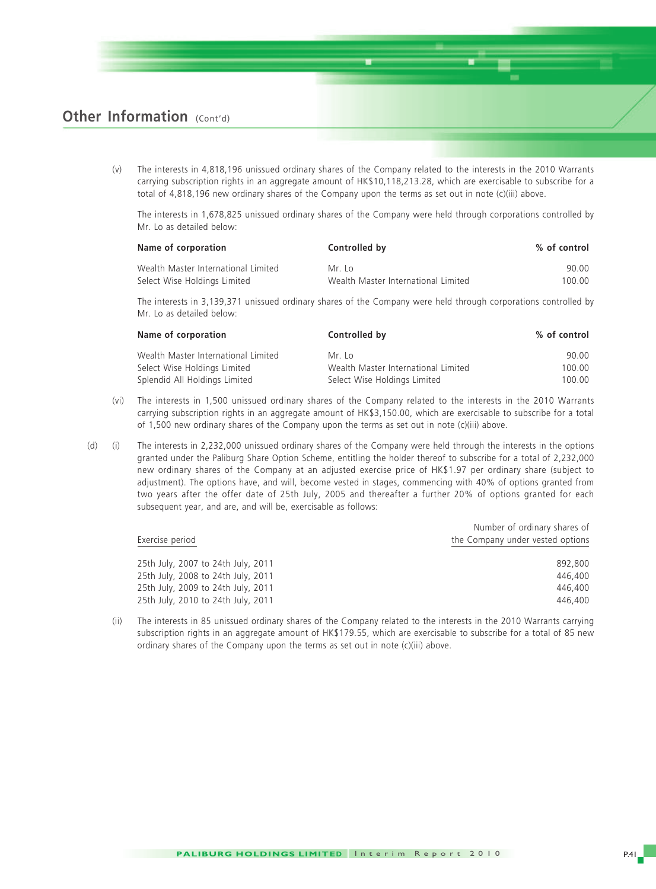(v) The interests in 4,818,196 unissued ordinary shares of the Company related to the interests in the 2010 Warrants carrying subscription rights in an aggregate amount of HK\$10,118,213.28, which are exercisable to subscribe for a total of 4,818,196 new ordinary shares of the Company upon the terms as set out in note (c)(iii) above.

The interests in 1,678,825 unissued ordinary shares of the Company were held through corporations controlled by Mr. Lo as detailed below:

| Name of corporation                 | Controlled by                       | % of control |
|-------------------------------------|-------------------------------------|--------------|
| Wealth Master International Limited | Mr Io                               | 90.00        |
| Select Wise Holdings Limited        | Wealth Master International Limited | 100.00       |

The interests in 3,139,371 unissued ordinary shares of the Company were held through corporations controlled by Mr. Lo as detailed below:

| Name of corporation                 | Controlled by                       | % of control |
|-------------------------------------|-------------------------------------|--------------|
| Wealth Master International Limited | $Mr$ Io                             | 90.00        |
| Select Wise Holdings Limited        | Wealth Master International Limited | 100.00       |
| Splendid All Holdings Limited       | Select Wise Holdings Limited        | 100.00       |

- (vi) The interests in 1,500 unissued ordinary shares of the Company related to the interests in the 2010 Warrants carrying subscription rights in an aggregate amount of HK\$3,150.00, which are exercisable to subscribe for a total of 1,500 new ordinary shares of the Company upon the terms as set out in note (c)(iii) above.
- (d) (i) The interests in 2,232,000 unissued ordinary shares of the Company were held through the interests in the options granted under the Paliburg Share Option Scheme, entitling the holder thereof to subscribe for a total of 2,232,000 new ordinary shares of the Company at an adjusted exercise price of HK\$1.97 per ordinary share (subject to adjustment). The options have, and will, become vested in stages, commencing with 40% of options granted from two years after the offer date of 25th July, 2005 and thereafter a further 20% of options granted for each subsequent year, and are, and will be, exercisable as follows:

|                                    | Number of ordinary shares of     |
|------------------------------------|----------------------------------|
| Exercise period                    | the Company under vested options |
| 25th July, 2007 to 24th July, 2011 | 892.800                          |
| 25th July, 2008 to 24th July, 2011 | 446,400                          |
| 25th July, 2009 to 24th July, 2011 | 446,400                          |
| 25th July, 2010 to 24th July, 2011 | 446,400                          |

(ii) The interests in 85 unissued ordinary shares of the Company related to the interests in the 2010 Warrants carrying subscription rights in an aggregate amount of HK\$179.55, which are exercisable to subscribe for a total of 85 new ordinary shares of the Company upon the terms as set out in note (c)(iii) above.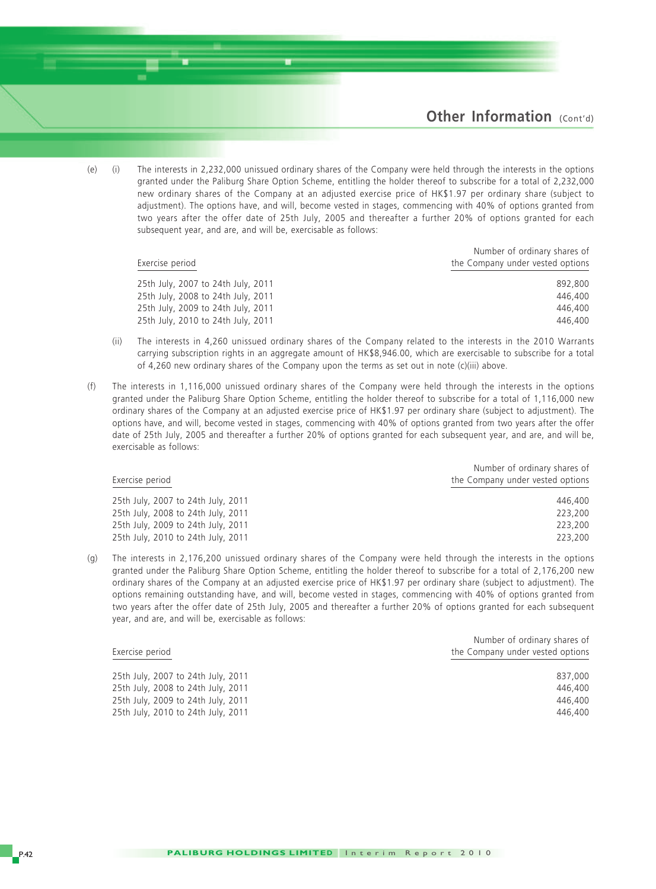(e) (i) The interests in 2,232,000 unissued ordinary shares of the Company were held through the interests in the options granted under the Paliburg Share Option Scheme, entitling the holder thereof to subscribe for a total of 2,232,000 new ordinary shares of the Company at an adjusted exercise price of HK\$1.97 per ordinary share (subject to adjustment). The options have, and will, become vested in stages, commencing with 40% of options granted from two years after the offer date of 25th July, 2005 and thereafter a further 20% of options granted for each subsequent year, and are, and will be, exercisable as follows:

|                                    | Number of ordinary shares of<br>the Company under vested options |  |  |
|------------------------------------|------------------------------------------------------------------|--|--|
| Exercise period                    |                                                                  |  |  |
| 25th July, 2007 to 24th July, 2011 | 892,800                                                          |  |  |
| 25th July, 2008 to 24th July, 2011 | 446,400                                                          |  |  |
| 25th July, 2009 to 24th July, 2011 | 446,400                                                          |  |  |
| 25th July, 2010 to 24th July, 2011 | 446,400                                                          |  |  |

- (ii) The interests in 4,260 unissued ordinary shares of the Company related to the interests in the 2010 Warrants carrying subscription rights in an aggregate amount of HK\$8,946.00, which are exercisable to subscribe for a total of 4,260 new ordinary shares of the Company upon the terms as set out in note (c)(iii) above.
- (f) The interests in 1,116,000 unissued ordinary shares of the Company were held through the interests in the options granted under the Paliburg Share Option Scheme, entitling the holder thereof to subscribe for a total of 1,116,000 new ordinary shares of the Company at an adjusted exercise price of HK\$1.97 per ordinary share (subject to adjustment). The options have, and will, become vested in stages, commencing with 40% of options granted from two years after the offer date of 25th July, 2005 and thereafter a further 20% of options granted for each subsequent year, and are, and will be, exercisable as follows:

| Exercise period                    | Number of ordinary shares of<br>the Company under vested options |  |  |
|------------------------------------|------------------------------------------------------------------|--|--|
| 25th July, 2007 to 24th July, 2011 | 446,400                                                          |  |  |
| 25th July, 2008 to 24th July, 2011 | 223,200                                                          |  |  |
| 25th July, 2009 to 24th July, 2011 | 223,200                                                          |  |  |
| 25th July, 2010 to 24th July, 2011 | 223,200                                                          |  |  |

(g) The interests in 2,176,200 unissued ordinary shares of the Company were held through the interests in the options granted under the Paliburg Share Option Scheme, entitling the holder thereof to subscribe for a total of 2,176,200 new ordinary shares of the Company at an adjusted exercise price of HK\$1.97 per ordinary share (subject to adjustment). The options remaining outstanding have, and will, become vested in stages, commencing with 40% of options granted from two years after the offer date of 25th July, 2005 and thereafter a further 20% of options granted for each subsequent year, and are, and will be, exercisable as follows:

|                                    | Number of ordinary shares of     |  |  |
|------------------------------------|----------------------------------|--|--|
| Exercise period                    | the Company under vested options |  |  |
| 25th July, 2007 to 24th July, 2011 | 837.000                          |  |  |
| 25th July, 2008 to 24th July, 2011 | 446,400                          |  |  |
| 25th July, 2009 to 24th July, 2011 | 446,400                          |  |  |
| 25th July, 2010 to 24th July, 2011 | 446,400                          |  |  |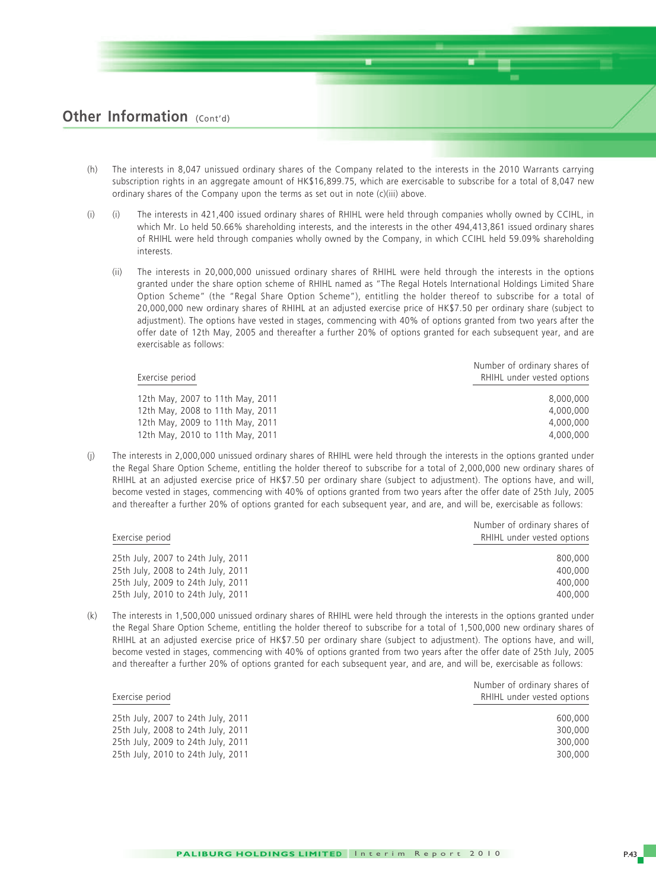- (h) The interests in 8,047 unissued ordinary shares of the Company related to the interests in the 2010 Warrants carrying subscription rights in an aggregate amount of HK\$16,899.75, which are exercisable to subscribe for a total of 8,047 new ordinary shares of the Company upon the terms as set out in note (c)(iii) above.
- (i) (i) The interests in 421,400 issued ordinary shares of RHIHL were held through companies wholly owned by CCIHL, in which Mr. Lo held 50.66% shareholding interests, and the interests in the other 494,413,861 issued ordinary shares of RHIHL were held through companies wholly owned by the Company, in which CCIHL held 59.09% shareholding interests.
	- (ii) The interests in 20,000,000 unissued ordinary shares of RHIHL were held through the interests in the options granted under the share option scheme of RHIHL named as "The Regal Hotels International Holdings Limited Share Option Scheme" (the "Regal Share Option Scheme"), entitling the holder thereof to subscribe for a total of 20,000,000 new ordinary shares of RHIHL at an adjusted exercise price of HK\$7.50 per ordinary share (subject to adjustment). The options have vested in stages, commencing with 40% of options granted from two vears after the offer date of 12th May, 2005 and thereafter a further 20% of options granted for each subsequent year, and are exercisable as follows:

| Exercise period                  | Number of ordinary shares of<br>RHIHL under vested options |  |  |
|----------------------------------|------------------------------------------------------------|--|--|
| 12th May, 2007 to 11th May, 2011 | 8,000,000                                                  |  |  |
| 12th May, 2008 to 11th May, 2011 | 4.000.000                                                  |  |  |
| 12th May, 2009 to 11th May, 2011 | 4,000,000                                                  |  |  |
| 12th May, 2010 to 11th May, 2011 | 4.000.000                                                  |  |  |

(j) The interests in 2,000,000 unissued ordinary shares of RHIHL were held through the interests in the options granted under the Regal Share Option Scheme, entitling the holder thereof to subscribe for a total of 2,000,000 new ordinary shares of RHIHL at an adjusted exercise price of HK\$7.50 per ordinary share (subject to adjustment). The options have, and will, become vested in stages, commencing with 40% of options granted from two years after the offer date of 25th July, 2005 and thereafter a further 20% of options granted for each subsequent year, and are, and will be, exercisable as follows:

| Exercise period                    | Number of ordinary shares of<br>RHIHL under vested options |  |  |
|------------------------------------|------------------------------------------------------------|--|--|
| 25th July, 2007 to 24th July, 2011 | 800,000                                                    |  |  |
| 25th July, 2008 to 24th July, 2011 | 400,000                                                    |  |  |
| 25th July, 2009 to 24th July, 2011 | 400,000                                                    |  |  |
| 25th July, 2010 to 24th July, 2011 | 400,000                                                    |  |  |
|                                    |                                                            |  |  |

(k) The interests in 1,500,000 unissued ordinary shares of RHIHL were held through the interests in the options granted under the Regal Share Option Scheme, entitling the holder thereof to subscribe for a total of 1,500,000 new ordinary shares of RHIHL at an adjusted exercise price of HK\$7.50 per ordinary share (subject to adjustment). The options have, and will, become vested in stages, commencing with 40% of options granted from two years after the offer date of 25th July, 2005 and thereafter a further 20% of options granted for each subsequent year, and are, and will be, exercisable as follows:

| Exercise period                    | <b>NUMBER OF ORDINARY STRATES OF</b><br>RHIHL under vested options |  |  |
|------------------------------------|--------------------------------------------------------------------|--|--|
| 25th July, 2007 to 24th July, 2011 | 600,000                                                            |  |  |
| 25th July, 2008 to 24th July, 2011 | 300,000                                                            |  |  |
| 25th July, 2009 to 24th July, 2011 | 300,000                                                            |  |  |
| 25th July, 2010 to 24th July, 2011 | 300,000                                                            |  |  |

Number of ordinary shares of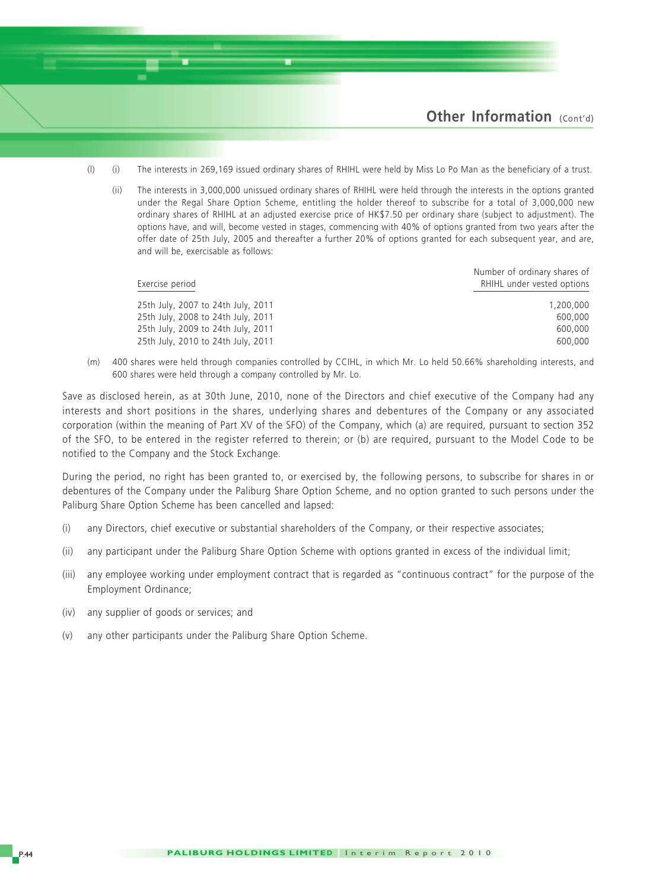

- (l) (i) The interests in 269,169 issued ordinary shares of RHIHL were held by Miss Lo Po Man as the beneficiary of a trust.
	- (ii) The interests in 3,000,000 unissued ordinary shares of RHIHL were held through the interests in the options granted under the Regal Share Option Scheme, entitling the holder thereof to subscribe for a total of 3,000,000 new ordinary shares of RHIHL at an adjusted exercise price of HK\$7.50 per ordinary share (subject to adjustment). The options have, and will, become vested in stages, commencing with 40% of options granted from two years after the offer date of 25th July, 2005 and thereafter a further 20% of options granted for each subsequent year, and are, and will be, exercisable as follows:

| Exercise period                    | Number of ordinary shares of<br>RHIHL under vested options |  |  |
|------------------------------------|------------------------------------------------------------|--|--|
| 25th July, 2007 to 24th July, 2011 | 1,200,000                                                  |  |  |
| 25th July, 2008 to 24th July, 2011 | 600,000                                                    |  |  |
| 25th July, 2009 to 24th July, 2011 | 600,000                                                    |  |  |
| 25th July, 2010 to 24th July, 2011 | 600,000                                                    |  |  |

(m) 400 shares were held through companies controlled by CCIHL, in which Mr. Lo held 50.66% shareholding interests, and 600 shares were held through a company controlled by Mr. Lo.

Save as disclosed herein, as at 30th June, 2010, none of the Directors and chief executive of the Company had any interests and short positions in the shares, underlying shares and debentures of the Company or any associated corporation (within the meaning of Part XV of the SFO) of the Company, which (a) are required, pursuant to section 352 of the SFO, to be entered in the register referred to therein; or (b) are required, pursuant to the Model Code to be notified to the Company and the Stock Exchange.

During the period, no right has been granted to, or exercised by, the following persons, to subscribe for shares in or debentures of the Company under the Paliburg Share Option Scheme, and no option granted to such persons under the Paliburg Share Option Scheme has been cancelled and lapsed:

- (i) any Directors, chief executive or substantial shareholders of the Company, or their respective associates;
- (ii) any participant under the Paliburg Share Option Scheme with options granted in excess of the individual limit;
- (iii) any employee working under employment contract that is regarded as "continuous contract" for the purpose of the Employment Ordinance;
- (iv) any supplier of goods or services; and
- (v) any other participants under the Paliburg Share Option Scheme.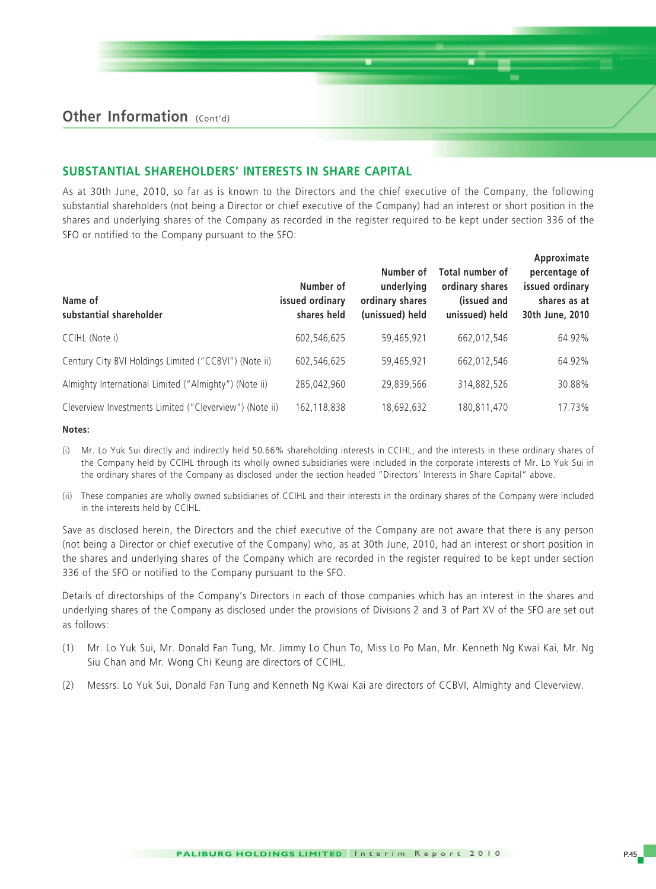#### **SUBSTANTIAL SHAREHOLDERS' INTERESTS IN SHARE CAPITAL**

As at 30th June, 2010, so far as is known to the Directors and the chief executive of the Company, the following substantial shareholders (not being a Director or chief executive of the Company) had an interest or short position in the shares and underlying shares of the Company as recorded in the register required to be kept under section 336 of the SFO or notified to the Company pursuant to the SFO:

| Name of<br>substantial shareholder                      | Number of<br>issued ordinary<br>shares held | Number of<br>underlying<br>ordinary shares<br>(unissued) held | Total number of<br>ordinary shares<br>(issued and<br>unissued) held | Approximate<br>percentage of<br>issued ordinary<br>shares as at<br>30th June, 2010 |
|---------------------------------------------------------|---------------------------------------------|---------------------------------------------------------------|---------------------------------------------------------------------|------------------------------------------------------------------------------------|
| CCIHL (Note i)                                          | 602,546,625                                 | 59,465,921                                                    | 662,012,546                                                         | 64.92%                                                                             |
| Century City BVI Holdings Limited ("CCBVI") (Note ii)   | 602,546,625                                 | 59,465,921                                                    | 662,012,546                                                         | 64.92%                                                                             |
| Almighty International Limited ("Almighty") (Note ii)   | 285,042,960                                 | 29,839,566                                                    | 314.882.526                                                         | 30.88%                                                                             |
| Cleverview Investments Limited ("Cleverview") (Note ii) | 162,118,838                                 | 18,692,632                                                    | 180,811,470                                                         | 17.73%                                                                             |

#### **Notes:**

- (i) Mr. Lo Yuk Sui directly and indirectly held 50.66% shareholding interests in CCIHL, and the interests in these ordinary shares of the Company held by CCIHL through its wholly owned subsidiaries were included in the corporate interests of Mr. Lo Yuk Sui in the ordinary shares of the Company as disclosed under the section headed "Directors' Interests in Share Capital" above.
- (ii) These companies are wholly owned subsidiaries of CCIHL and their interests in the ordinary shares of the Company were included in the interests held by CCIHL.

Save as disclosed herein, the Directors and the chief executive of the Company are not aware that there is any person (not being a Director or chief executive of the Company) who, as at 30th June, 2010, had an interest or short position in the shares and underlying shares of the Company which are recorded in the register required to be kept under section 336 of the SFO or notified to the Company pursuant to the SFO.

Details of directorships of the Company's Directors in each of those companies which has an interest in the shares and underlying shares of the Company as disclosed under the provisions of Divisions 2 and 3 of Part XV of the SFO are set out as follows:

- (1) Mr. Lo Yuk Sui, Mr. Donald Fan Tung, Mr. Jimmy Lo Chun To, Miss Lo Po Man, Mr. Kenneth Ng Kwai Kai, Mr. Ng Siu Chan and Mr. Wong Chi Keung are directors of CCIHL.
- (2) Messrs. Lo Yuk Sui, Donald Fan Tung and Kenneth Ng Kwai Kai are directors of CCBVI, Almighty and Cleverview.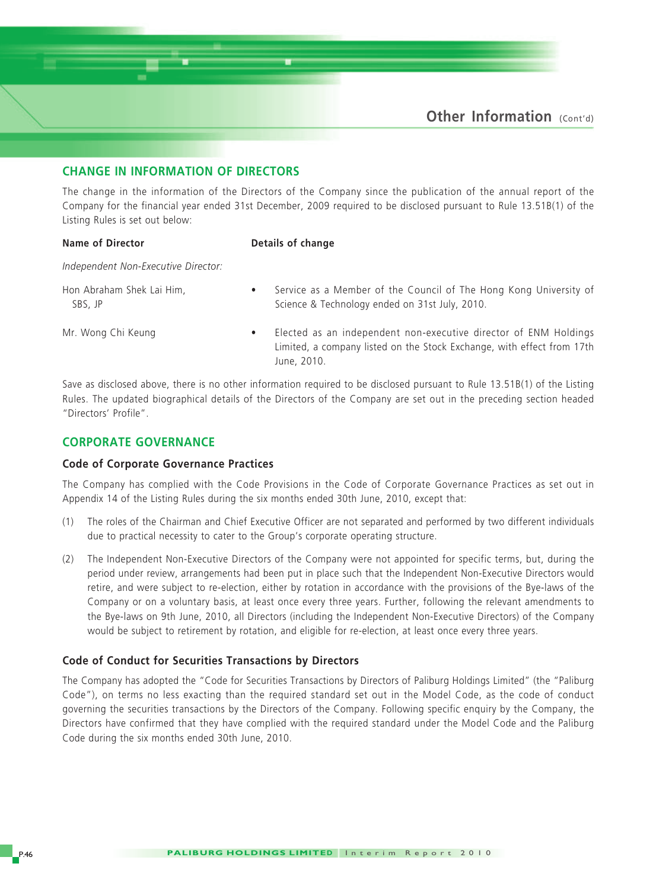### **CHANGE IN INFORMATION OF DIRECTORS**

The change in the information of the Directors of the Company since the publication of the annual report of the Company for the financial year ended 31st December, 2009 required to be disclosed pursuant to Rule 13.51B(1) of the Listing Rules is set out below:

#### **Name of Director** Details of change

*Independent Non-Executive Director:*

Hon Abraham Shek Lai Him, **•** Service as a Member of the Council of The Hong Kong University of SBS, JP Setember 2010. Science & Technology ended on 31st July, 2010.

Mr. Wong Chi Keung • Elected as an independent non-executive director of ENM Holdings Limited, a company listed on the Stock Exchange, with effect from 17th June, 2010.

Save as disclosed above, there is no other information required to be disclosed pursuant to Rule 13.51B(1) of the Listing Rules. The updated biographical details of the Directors of the Company are set out in the preceding section headed "Directors' Profile".

#### **CORPORATE GOVERNANCE**

#### **Code of Corporate Governance Practices**

The Company has complied with the Code Provisions in the Code of Corporate Governance Practices as set out in Appendix 14 of the Listing Rules during the six months ended 30th June, 2010, except that:

- (1) The roles of the Chairman and Chief Executive Officer are not separated and performed by two different individuals due to practical necessity to cater to the Group's corporate operating structure.
- (2) The Independent Non-Executive Directors of the Company were not appointed for specific terms, but, during the period under review, arrangements had been put in place such that the Independent Non-Executive Directors would retire, and were subject to re-election, either by rotation in accordance with the provisions of the Bye-laws of the Company or on a voluntary basis, at least once every three years. Further, following the relevant amendments to the Bye-laws on 9th June, 2010, all Directors (including the Independent Non-Executive Directors) of the Company would be subject to retirement by rotation, and eligible for re-election, at least once every three years.

#### **Code of Conduct for Securities Transactions by Directors**

The Company has adopted the "Code for Securities Transactions by Directors of Paliburg Holdings Limited" (the "Paliburg Code"), on terms no less exacting than the required standard set out in the Model Code, as the code of conduct governing the securities transactions by the Directors of the Company. Following specific enquiry by the Company, the Directors have confirmed that they have complied with the required standard under the Model Code and the Paliburg Code during the six months ended 30th June, 2010.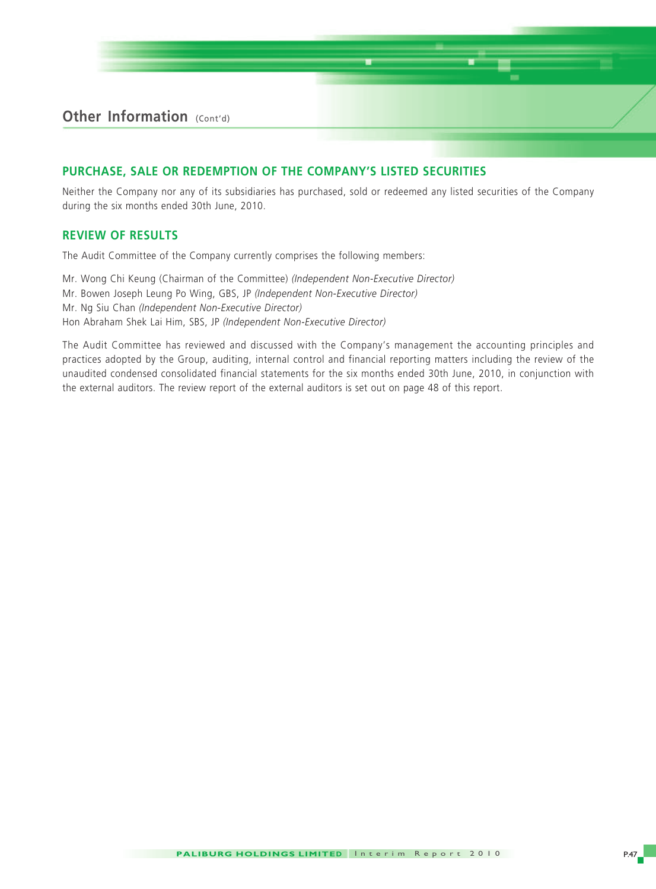#### **PURCHASE, SALE OR REDEMPTION OF THE COMPANY'S LISTED SECURITIES**

Neither the Company nor any of its subsidiaries has purchased, sold or redeemed any listed securities of the Company during the six months ended 30th June, 2010.

#### **REVIEW OF RESULTS**

The Audit Committee of the Company currently comprises the following members:

Mr. Wong Chi Keung (Chairman of the Committee) *(Independent Non-Executive Director)* Mr. Bowen Joseph Leung Po Wing, GBS, JP *(Independent Non-Executive Director)* Mr. Ng Siu Chan *(Independent Non-Executive Director)* Hon Abraham Shek Lai Him, SBS, JP *(Independent Non-Executive Director)*

The Audit Committee has reviewed and discussed with the Company's management the accounting principles and practices adopted by the Group, auditing, internal control and financial reporting matters including the review of the unaudited condensed consolidated financial statements for the six months ended 30th June, 2010, in conjunction with the external auditors. The review report of the external auditors is set out on page 48 of this report.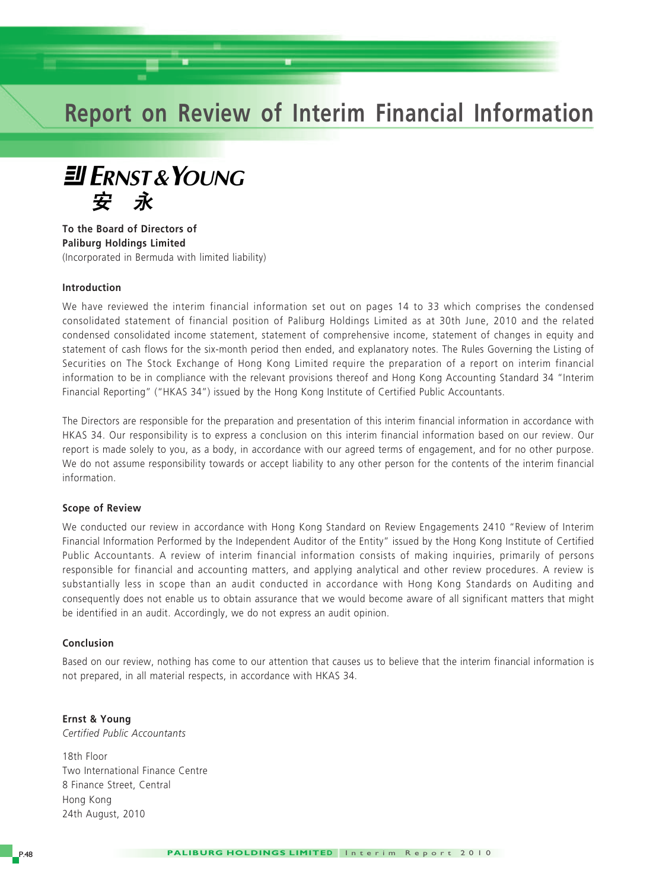## **Report on Review of Interim Financial Information**



**To the Board of Directors of Paliburg Holdings Limited** (Incorporated in Bermuda with limited liability)

#### **Introduction**

We have reviewed the interim financial information set out on pages 14 to 33 which comprises the condensed consolidated statement of financial position of Paliburg Holdings Limited as at 30th June, 2010 and the related condensed consolidated income statement, statement of comprehensive income, statement of changes in equity and statement of cash flows for the six-month period then ended, and explanatory notes. The Rules Governing the Listing of Securities on The Stock Exchange of Hong Kong Limited require the preparation of a report on interim financial information to be in compliance with the relevant provisions thereof and Hong Kong Accounting Standard 34 "Interim Financial Reporting" ("HKAS 34") issued by the Hong Kong Institute of Certified Public Accountants.

The Directors are responsible for the preparation and presentation of this interim financial information in accordance with HKAS 34. Our responsibility is to express a conclusion on this interim financial information based on our review. Our report is made solely to you, as a body, in accordance with our agreed terms of engagement, and for no other purpose. We do not assume responsibility towards or accept liability to any other person for the contents of the interim financial information.

#### **Scope of Review**

We conducted our review in accordance with Hong Kong Standard on Review Engagements 2410 "Review of Interim Financial Information Performed by the Independent Auditor of the Entity" issued by the Hong Kong Institute of Certified Public Accountants. A review of interim financial information consists of making inquiries, primarily of persons responsible for financial and accounting matters, and applying analytical and other review procedures. A review is substantially less in scope than an audit conducted in accordance with Hong Kong Standards on Auditing and consequently does not enable us to obtain assurance that we would become aware of all significant matters that might be identified in an audit. Accordingly, we do not express an audit opinion.

#### **Conclusion**

Based on our review, nothing has come to our attention that causes us to believe that the interim financial information is not prepared, in all material respects, in accordance with HKAS 34.

**Ernst & Young** *Certified Public Accountants*

18th Floor Two International Finance Centre 8 Finance Street, Central Hong Kong 24th August, 2010